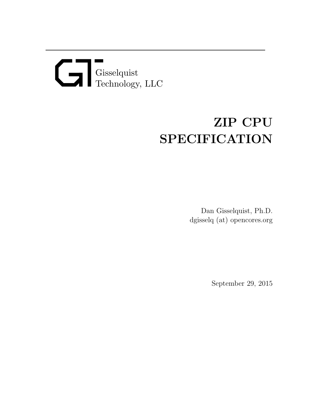# Gisselquist Technology, LLC

# ZIP CPU SPECIFICATION

Dan Gisselquist, Ph.D. dgisselq (at) opencores.org

September 29, 2015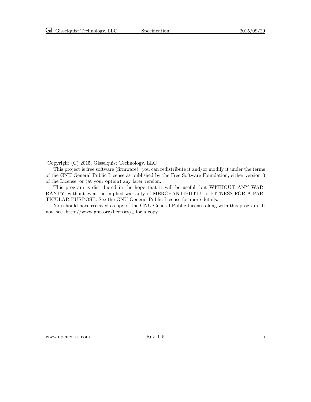Copyright (C) 2015, Gisselquist Technology, LLC

This project is free software (firmware): you can redistribute it and/or modify it under the terms of the GNU General Public License as published by the Free Software Foundation, either version 3 of the License, or (at your option) any later version.

This program is distributed in the hope that it will be useful, but WITHOUT ANY WAR-RANTY; without even the implied warranty of MERCHANTIBILITY or FITNESS FOR A PAR-TICULAR PURPOSE. See the GNU General Public License for more details.

You should have received a copy of the GNU General Public License along with this program. If not, see  $\frac{\text{http://www.gnu.org/} \cdot \text{circes}}{\text{...}}$  for a copy.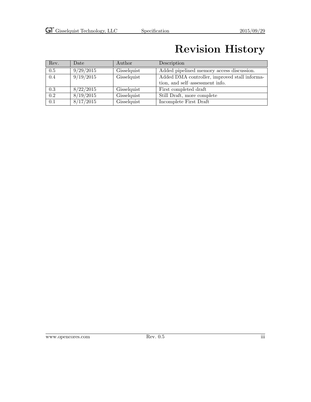### Revision History

| Rev. | Date      | Author      | Description                                   |
|------|-----------|-------------|-----------------------------------------------|
| 0.5  | 9/29/2015 | Gisselquist | Added pipelined memory access discussion.     |
| 0.4  | 9/19/2015 | Gisselquist | Added DMA controller, improved stall informa- |
|      |           |             | tion, and self-assessment info.               |
| 0.3  | 8/22/2015 | Gisselquist | First completed draft                         |
| 0.2  | 8/19/2015 | Gisselquist | Still Draft, more complete                    |
| 0.1  | 8/17/2015 | Gisselquist | Incomplete First Draft                        |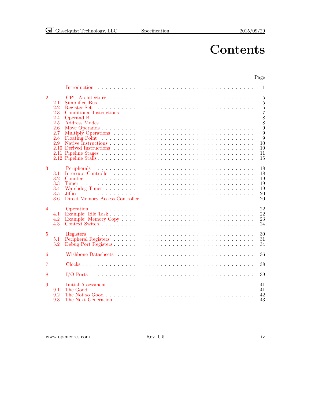Page

### **Contents**

#### [1 Introduction](#page-7-0) . . . . . . . . . . . . . . . . . . . . . . . . . . . . . . . . . . . . . . . . 1 [2 CPU Architecture](#page-11-0) . . . . . . . . . . . . . . . . . . . . . . . . . . . . . . . . . . . . . 5 [2.1 Simplified Bus](#page-11-1) . . . . . . . . . . . . . . . . . . . . . . . . . . . . . . . . . . . . . . . 5 [2.2 Register Set](#page-11-2) . . . . . . . . . . . . . . . . . . . . . . . . . . . . . . . . . . . . . . . . . 5 [2.3 Conditional Instructions](#page-13-0) . . . . . . . . . . . . . . . . . . . . . . . . . . . . . . . . . . 7 [2.4 Operand B](#page-14-0) . . . . . . . . . . . . . . . . . . . . . . . . . . . . . . . . . . . . . . . . . 8 [2.5 Address Modes](#page-14-1) . . . . . . . . . . . . . . . . . . . . . . . . . . . . . . . . . . . . . . . 8 [2.6 Move Operands](#page-15-0) . . . . . . . . . . . . . . . . . . . . . . . . . . . . . . . . . . . . . . . 9 [2.7 Multiply Operations](#page-15-1) . . . . . . . . . . . . . . . . . . . . . . . . . . . . . . . . . . . . 9 [2.8 Floating Point](#page-15-2) . . . . . . . . . . . . . . . . . . . . . . . . . . . . . . . . . . . . . . . 9 [2.9 Native Instructions](#page-16-0) . . . . . . . . . . . . . . . . . . . . . . . . . . . . . . . . . . . . . 10 [2.10 Derived Instructions](#page-16-1) . . . . . . . . . . . . . . . . . . . . . . . . . . . . . . . . . . . . 10 [2.11 Pipeline Stages](#page-17-0) . . . . . . . . . . . . . . . . . . . . . . . . . . . . . . . . . . . . . . . 11 [2.12 Pipeline Stalls](#page-21-0) . . . . . . . . . . . . . . . . . . . . . . . . . . . . . . . . . . . . . . . . 15 [3 Peripherals](#page-24-0) . . . . . . . . . . . . . . . . . . . . . . . . . . . . . . . . . . . . . . . . . 18 [3.1 Interrupt Controller](#page-24-1) . . . . . . . . . . . . . . . . . . . . . . . . . . . . . . . . . . . . 18 [3.2 Counter](#page-25-0) . . . . . . . . . . . . . . . . . . . . . . . . . . . . . . . . . . . . . . . . . . . 19 [3.3 Timer](#page-25-1) . . . . . . . . . . . . . . . . . . . . . . . . . . . . . . . . . . . . . . . . . . . . 19 [3.4 Watchdog Timer](#page-25-2) . . . . . . . . . . . . . . . . . . . . . . . . . . . . . . . . . . . . . . 19 [3.5 Jiffies](#page-26-0) . . . . . . . . . . . . . . . . . . . . . . . . . . . . . . . . . . . . . . . . . . . . 20 [3.6 Direct Memory Access Controller](#page-26-1) . . . . . . . . . . . . . . . . . . . . . . . . . . . . . 20 [4 Operation](#page-28-0) . . . . . . . . . . . . . . . . . . . . . . . . . . . . . . . . . . . . . . . . . . 22 [4.1 Example: Idle Task](#page-28-1) . . . . . . . . . . . . . . . . . . . . . . . . . . . . . . . . . . . . . 22 [4.2 Example: Memory Copy](#page-29-0) . . . . . . . . . . . . . . . . . . . . . . . . . . . . . . . . . . 23 [4.3 Context Switch](#page-30-0) . . . . . . . . . . . . . . . . . . . . . . . . . . . . . . . . . . . . . . . 24 [5 Registers](#page-36-0) . . . . . . . . . . . . . . . . . . . . . . . . . . . . . . . . . . . . . . . . . . 30 [5.1 Peripheral Registers](#page-37-0) . . . . . . . . . . . . . . . . . . . . . . . . . . . . . . . . . . . . 31 [5.2 Debug Port Registers](#page-40-0) . . . . . . . . . . . . . . . . . . . . . . . . . . . . . . . . . . . . 34 [6 Wishbone Datasheets](#page-42-0) . . . . . . . . . . . . . . . . . . . . . . . . . . . . . . . . . . . 36 [7 Clocks](#page-44-0) . . . . . . . . . . . . . . . . . . . . . . . . . . . . . . . . . . . . . . . . . . . . 38 [8 I/O Ports](#page-45-0) . . . . . . . . . . . . . . . . . . . . . . . . . . . . . . . . . . . . . . . . . . 39 [9 Initial Assessment](#page-47-0) . . . . . . . . . . . . . . . . . . . . . . . . . . . . . . . . . . . . . 41 [9.1 The Good](#page-47-1) . . . . . . . . . . . . . . . . . . . . . . . . . . . . . . . . . . . . . . . . . . 41 [9.2 The Not so Good](#page-48-0) . . . . . . . . . . . . . . . . . . . . . . . . . . . . . . . . . . . . . . 42

#### www.opencores.com Rev. 0.5 iv

[9.3 The Next Generation](#page-49-0) . . . . . . . . . . . . . . . . . . . . . . . . . . . . . . . . . . . . 43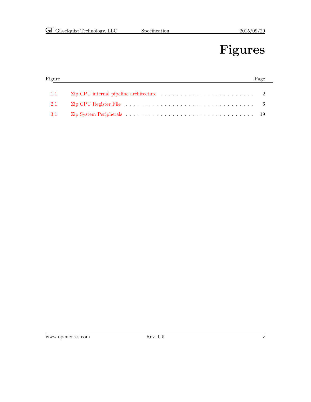# Figures

| Figure |                                                                                                                                                                                                                                | Page |
|--------|--------------------------------------------------------------------------------------------------------------------------------------------------------------------------------------------------------------------------------|------|
|        |                                                                                                                                                                                                                                |      |
| 1.1    | Zip CPU internal pipeline architecture $\ldots \ldots \ldots \ldots \ldots \ldots \ldots$ 2                                                                                                                                    |      |
| 2.1    | Zip CPU Register File response to the contract of the contract of the contract of the contract of the contract of the contract of the contract of the contract of the contract of the contract of the contract of the contract |      |
| 3.1    |                                                                                                                                                                                                                                |      |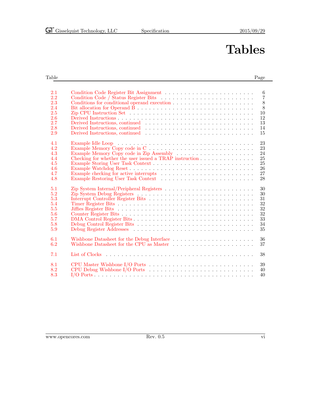# Tables

#### Table Page **Page 2018**

| 2.1<br>2.2<br>2.3<br>2.4<br>2.5<br>2.6<br>2.7<br>2.8<br>2.9 | 6<br>$\overline{7}$<br>8<br>$\overline{8}$<br>Zip CPU Instruction Set $\dots \dots \dots \dots \dots \dots \dots \dots \dots \dots \dots \dots \dots$<br>10<br>12<br>13<br>14<br>Derived Instructions, continued<br>15 |
|-------------------------------------------------------------|------------------------------------------------------------------------------------------------------------------------------------------------------------------------------------------------------------------------|
| 4.1<br>4.2<br>4.3<br>4.4<br>4.5<br>4.6<br>4.7<br>4.8        | 23<br>Example Memory Copy code in C<br>23<br>24<br>Checking for whether the user issued a TRAP instruction<br>25<br>25<br>26<br>27<br>28                                                                               |
| 5.1<br>5.2<br>5.3<br>5.4<br>5.5<br>5.6<br>5.7<br>5.8<br>5.9 | 30<br>30<br>31<br>32<br>32<br>32<br>33<br>34<br>35                                                                                                                                                                     |
| 6.1<br>6.2                                                  | 36<br>Wishbone Datasheet for the Debug Interface $\dots \dots \dots \dots \dots \dots \dots \dots$<br>Wishbone Datasheet for the CPU as Master<br>37                                                                   |
| 7.1                                                         | 38                                                                                                                                                                                                                     |
| 8.1<br>8.2<br>8.3                                           | 39<br>40<br>40                                                                                                                                                                                                         |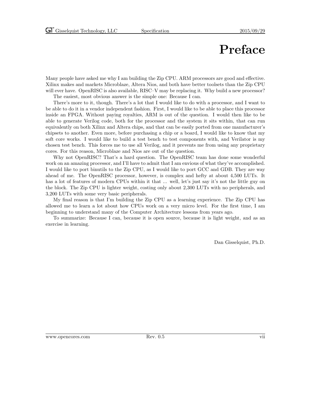### Preface

Many people have asked me why I am building the Zip CPU. ARM processors are good and effective. Xilinx makes and markets Microblaze, Altera Nios, and both have better toolsets than the Zip CPU will ever have. OpenRISC is also available, RISC–V may be replacing it. Why build a new processor?

The easiest, most obvious answer is the simple one: Because I can.

There's more to it, though. There's a lot that I would like to do with a processor, and I want to be able to do it in a vendor independent fashion. First, I would like to be able to place this processor inside an FPGA. Without paying royalties, ARM is out of the question. I would then like to be able to generate Verilog code, both for the processor and the system it sits within, that can run equivalently on both Xilinx and Altera chips, and that can be easily ported from one manufacturer's chipsets to another. Even more, before purchasing a chip or a board, I would like to know that my soft core works. I would like to build a test bench to test components with, and Verilator is my chosen test bench. This forces me to use all Verilog, and it prevents me from using any proprietary cores. For this reason, Microblaze and Nios are out of the question.

Why not OpenRISC? That's a hard question. The OpenRISC team has done some wonderful work on an amazing processor, and I'll have to admit that I am envious of what they've accomplished. I would like to port binutils to the Zip CPU, as I would like to port GCC and GDB. They are way ahead of me. The OpenRISC processor, however, is complex and hefty at about 4,500 LUTs. It has a lot of features of modern CPUs within it that ... well, let's just say it's not the little guy on the block. The Zip CPU is lighter weight, costing only about 2,300 LUTs with no peripherals, and 3,200 LUTs with some very basic peripherals.

My final reason is that I'm building the Zip CPU as a learning experience. The Zip CPU has allowed me to learn a lot about how CPUs work on a very micro level. For the first time, I am beginning to understand many of the Computer Architecture lessons from years ago.

To summarize: Because I can, because it is open source, because it is light weight, and as an exercise in learning.

Dan Gisselquist, Ph.D.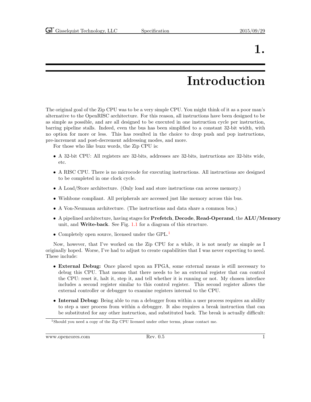### 1.

# Introduction

<span id="page-7-0"></span>The original goal of the Zip CPU was to be a very simple CPU. You might think of it as a poor man's alternative to the OpenRISC architecture. For this reason, all instructions have been designed to be as simple as possible, and are all designed to be executed in one instruction cycle per instruction, barring pipeline stalls. Indeed, even the bus has been simplified to a constant 32-bit width, with no option for more or less. This has resulted in the choice to drop push and pop instructions, pre-increment and post-decrement addressing modes, and more.

For those who like buzz words, the Zip CPU is:

- A 32-bit CPU: All registers are 32-bits, addresses are 32-bits, instructions are 32-bits wide, etc.
- A RISC CPU. There is no microcode for executing instructions. All instructions are designed to be completed in one clock cycle.
- A Load/Store architecture. (Only load and store instructions can access memory.)
- Wishbone compliant. All peripherals are accessed just like memory across this bus.
- A Von-Neumann architecture. (The instructions and data share a common bus.)
- A pipelined architecture, having stages for Prefetch, Decode, Read-Operand, the ALU/Memory unit, and Write-back. See Fig. [1.1](#page-8-0) for a diagram of this structure.
- Completely open source, licensed under the GPL.<sup>[1](#page-7-1)</sup>

Now, however, that I've worked on the Zip CPU for a while, it is not nearly as simple as I originally hoped. Worse, I've had to adjust to create capabilities that I was never expecting to need. These include:

- External Debug: Once placed upon an FPGA, some external means is still necessary to debug this CPU. That means that there needs to be an external register that can control the CPU: reset it, halt it, step it, and tell whether it is running or not. My chosen interface includes a second register similar to this control register. This second register allows the external controller or debugger to examine registers internal to the CPU.
- Internal Debug: Being able to run a debugger from within a user process requires an ability to step a user process from within a debugger. It also requires a break instruction that can be substituted for any other instruction, and substituted back. The break is actually difficult:

www.opencores.com Rev. 0.5 1

<span id="page-7-1"></span><sup>&</sup>lt;sup>1</sup>Should you need a copy of the Zip CPU licensed under other terms, please contact me.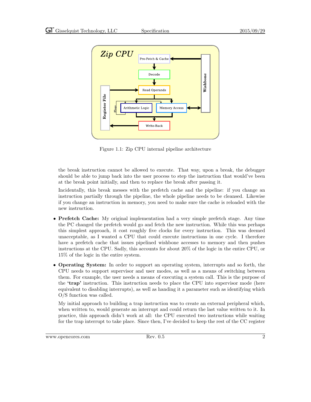

<span id="page-8-0"></span>Figure 1.1: Zip CPU internal pipeline architecture

the break instruction cannot be allowed to execute. That way, upon a break, the debugger should be able to jump back into the user process to step the instruction that would've been at the break point initially, and then to replace the break after passing it.

Incidentally, this break messes with the prefetch cache and the pipeline: if you change an instruction partially through the pipeline, the whole pipeline needs to be cleansed. Likewise if you change an instruction in memory, you need to make sure the cache is reloaded with the new instruction.

- Prefetch Cache: My original implementation had a very simple prefetch stage. Any time the PC changed the prefetch would go and fetch the new instruction. While this was perhaps this simplest approach, it cost roughly five clocks for every instruction. This was deemed unacceptable, as I wanted a CPU that could execute instructions in one cycle. I therefore have a prefetch cache that issues pipelined wishbone accesses to memory and then pushes instructions at the CPU. Sadly, this accounts for about 20% of the logic in the entire CPU, or 15% of the logic in the entire system.
- Operating System: In order to support an operating system, interrupts and so forth, the CPU needs to support supervisor and user modes, as well as a means of switching between them. For example, the user needs a means of executing a system call. This is the purpose of the 'trap' instruction. This instruction needs to place the CPU into supervisor mode (here equivalent to disabling interrupts), as well as handing it a parameter such as identifying which O/S function was called.

My initial approach to building a trap instruction was to create an external peripheral which, when written to, would generate an interrupt and could return the last value written to it. In practice, this approach didn't work at all: the CPU executed two instructions while waiting for the trap interrupt to take place. Since then, I've decided to keep the rest of the CC register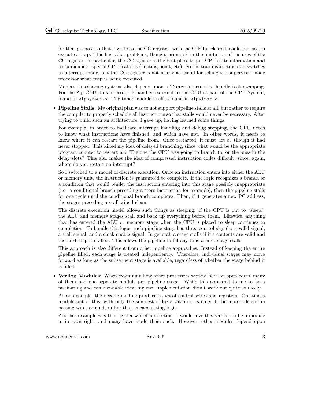for that purpose so that a write to the CC register, with the GIE bit cleared, could be used to execute a trap. This has other problems, though, primarily in the limitation of the uses of the CC register. In particular, the CC register is the best place to put CPU state information and to "announce" special CPU features (floating point, etc). So the trap instruction still switches to interrupt mode, but the CC register is not nearly as useful for telling the supervisor mode processor what trap is being executed.

Modern timesharing systems also depend upon a Timer interrupt to handle task swapping. For the Zip CPU, this interrupt is handled external to the CPU as part of the CPU System, found in zipsystem.v. The timer module itself is found in ziptimer.v.

• Pipeline Stalls: My original plan was to not support pipeline stalls at all, but rather to require the compiler to properly schedule all instructions so that stalls would never be necessary. After trying to build such an architecture, I gave up, having learned some things:

For example, in order to facilitate interrupt handling and debug stepping, the CPU needs to know what instructions have finished, and which have not. In other words, it needs to know where it can restart the pipeline from. Once restarted, it must act as though it had never stopped. This killed my idea of delayed branching, since what would be the appropriate program counter to restart at? The one the CPU was going to branch to, or the ones in the delay slots? This also makes the idea of compressed instruction codes difficult, since, again, where do you restart on interrupt?

So I switched to a model of discrete execution: Once an instruction enters into either the ALU or memory unit, the instruction is guaranteed to complete. If the logic recognizes a branch or a condition that would render the instruction entering into this stage possibly inappropriate (i.e. a conditional branch preceding a store instruction for example), then the pipeline stalls for one cycle until the conditional branch completes. Then, if it generates a new PC address, the stages preceding are all wiped clean.

The discrete execution model allows such things as sleeping: if the CPU is put to "sleep," the ALU and memory stages stall and back up everything before them. Likewise, anything that has entered the ALU or memory stage when the CPU is placed to sleep continues to completion. To handle this logic, each pipeline stage has three control signals: a valid signal, a stall signal, and a clock enable signal. In general, a stage stalls if it's contents are valid and the next step is stalled. This allows the pipeline to fill any time a later stage stalls.

This approach is also different from other pipeline approaches. Instead of keeping the entire pipeline filled, each stage is treated independently. Therefore, individual stages may move forward as long as the subsequent stage is available, regardless of whether the stage behind it is filled.

• Verilog Modules: When examining how other processors worked here on open cores, many of them had one separate module per pipeline stage. While this appeared to me to be a fascinating and commendable idea, my own implementation didn't work out quite so nicely.

As an example, the decode module produces a lot of control wires and registers. Creating a module out of this, with only the simplest of logic within it, seemed to be more a lesson in passing wires around, rather than encapsulating logic.

Another example was the register writeback section. I would love this section to be a module in its own right, and many have made them such. However, other modules depend upon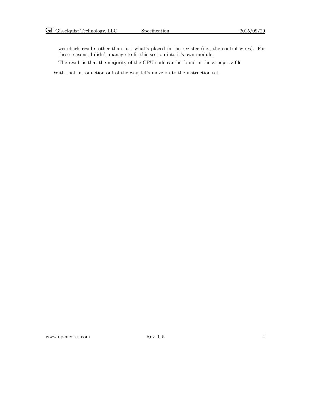writeback results other than just what's placed in the register (i.e., the control wires). For these reasons, I didn't manage to fit this section into it's own module.

The result is that the majority of the CPU code can be found in the zipcpu.v file.

With that introduction out of the way, let's move on to the instruction set.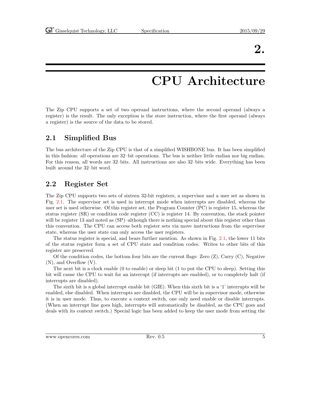### 2.

### CPU Architecture

<span id="page-11-0"></span>The Zip CPU supports a set of two operand instructions, where the second operand (always a register) is the result. The only exception is the store instruction, where the first operand (always a register) is the source of the data to be stored.

#### <span id="page-11-1"></span>2.1 Simplified Bus

The bus architecture of the Zip CPU is that of a simplified WISHBONE bus. It has been simplified in this fashion: all operations are 32–bit operations. The bus is neither little endian nor big endian. For this reason, all words are 32–bits. All instructions are also 32–bits wide. Everything has been built around the 32–bit word.

#### <span id="page-11-2"></span>2.2 Register Set

The Zip CPU supports two sets of sixteen 32-bit registers, a supervisor and a user set as shown in Fig. [2.1.](#page-12-0) The supervisor set is used in interrupt mode when interrupts are disabled, whereas the user set is used otherwise. Of this register set, the Program Counter (PC) is register 15, whereas the status register (SR) or condition code register (CC) is register 14. By convention, the stack pointer will be register 13 and noted as  $(SP)$ –although there is nothing special about this register other than this convention. The CPU can access both register sets via move instructions from the supervisor state, whereas the user state can only access the user registers.

The status register is special, and bears further mention. As shown in Fig. [2.1,](#page-12-1) the lower 11 bits of the status register form a set of CPU state and condition codes. Writes to other bits of this register are preserved.

Of the condition codes, the bottom four bits are the current flags: Zero  $(Z)$ , Carry  $(C)$ , Negative (N), and Overflow (V).

The next bit is a clock enable (0 to enable) or sleep bit (1 to put the CPU to sleep). Setting this bit will cause the CPU to wait for an interrupt (if interrupts are enabled), or to completely halt (if interrupts are disabled).

The sixth bit is a global interrupt enable bit (GIE). When this sixth bit is a '1' interrupts will be enabled, else disabled. When interrupts are disabled, the CPU will be in supervisor mode, otherwise it is in user mode. Thus, to execute a context switch, one only need enable or disable interrupts. (When an interrupt line goes high, interrupts will automatically be disabled, as the CPU goes and deals with its context switch.) Special logic has been added to keep the user mode from setting the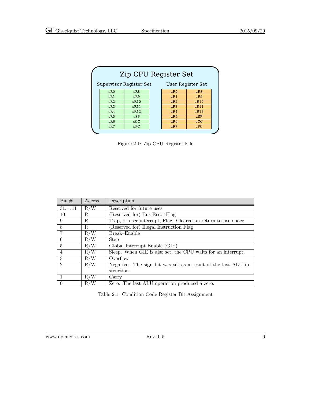| Zip CPU Register Set                         |            |  |                 |                 |  |  |
|----------------------------------------------|------------|--|-----------------|-----------------|--|--|
| Supervisor Register Set<br>User Register Set |            |  |                 |                 |  |  |
| sR0                                          | sR8        |  | uR0             | uR8             |  |  |
| sR1                                          | sR9        |  | uR1             | uR9             |  |  |
| sR2                                          | sR10       |  | uR2             | uR10            |  |  |
| sR3                                          | sR11       |  | uR3             | uR11            |  |  |
| sR4                                          | sR12       |  | uR4             | uR12            |  |  |
| sR5                                          | <b>sSP</b> |  | uR5             | $\mathbf{u}$ SP |  |  |
| sR6                                          | SCC        |  | uR <sub>6</sub> | ucC             |  |  |
| sR7                                          | SPC        |  | uR7             | uPC             |  |  |

<span id="page-12-0"></span>Figure 2.1: Zip CPU Register File

| Bit $#$        | Access | Description                                                    |
|----------------|--------|----------------------------------------------------------------|
| 3111           | R/W    | Reserved for future uses                                       |
| 10             | R.     | Reserved for) Bus-Error Flag                                   |
| 9              | R.     | Trap, or user interrupt, Flag. Cleared on return to userspace. |
| 8              | R.     | Reserved for) Illegal Instruction Flag                         |
| 7              | R/W    | Break-Enable                                                   |
| 6              | R/W    | <b>Step</b>                                                    |
| $\overline{5}$ | R/W    | Global Interrupt Enable (GIE)                                  |
| $\overline{4}$ | R/W    | Sleep. When GIE is also set, the CPU waits for an interrupt.   |
| 3              | R/W    | Overflow                                                       |
| $\mathfrak{D}$ | R/W    | Negative. The sign bit was set as a result of the last ALU in- |
|                |        | struction.                                                     |
|                | R/W    | Carry                                                          |
| $\theta$       | R/W    | Zero. The last ALU operation produced a zero.                  |

<span id="page-12-1"></span>Table 2.1: Condition Code Register Bit Assignment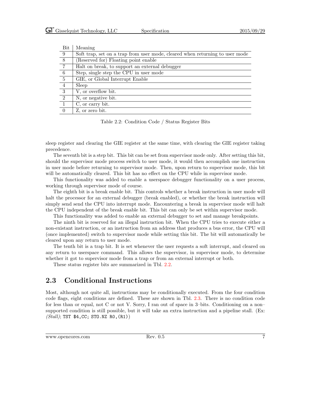| Bit             | Meaning                                                                      |
|-----------------|------------------------------------------------------------------------------|
| - 9             | Soft trap, set on a trap from user mode, cleared when returning to user mode |
| $\overline{8}$  | (Reserved for) Floating point enable                                         |
| $\overline{7}$  | Halt on break, to support an external debugger                               |
| - 6             | Step, single step the CPU in user mode                                       |
| $5\phantom{.0}$ | GIE, or Global Interrupt Enable                                              |
| $\overline{4}$  | Sleep                                                                        |
| 3               | V, or overflow bit.                                                          |
| 2               | N, or negative bit.                                                          |
| $\overline{1}$  | C, or carry bit.                                                             |
| $\Omega$        | Z, or zero bit.                                                              |

<span id="page-13-1"></span>Table 2.2: Condition Code / Status Register Bits

sleep register and clearing the GIE register at the same time, with clearing the GIE register taking precedence.

The seventh bit is a step bit. This bit can be set from supervisor mode only. After setting this bit, should the supervisor mode process switch to user mode, it would then accomplish one instruction in user mode before returning to supervisor mode. Then, upon return to supervisor mode, this bit will be automatically cleared. This bit has no effect on the CPU while in supervisor mode.

This functionality was added to enable a userspace debugger functionality on a user process, working through supervisor mode of course.

The eighth bit is a break enable bit. This controls whether a break instruction in user mode will halt the processor for an external debugger (break enabled), or whether the break instruction will simply send send the CPU into interrupt mode. Encountering a break in supervisor mode will halt the CPU independent of the break enable bit. This bit can only be set within supervisor mode.

This functionality was added to enable an external debugger to set and manage breakpoints.

The ninth bit is reserved for an illegal instruction bit. When the CPU tries to execute either a non-existant instruction, or an instruction from an address that produces a bus error, the CPU will (once implemented) switch to supervisor mode while setting this bit. The bit will automatically be cleared upon any return to user mode.

The tenth bit is a trap bit. It is set whenever the user requests a soft interrupt, and cleared on any return to userspace command. This allows the supervisor, in supervisor mode, to determine whether it got to supervisor mode from a trap or from an external interrupt or both.

These status register bits are summarized in Tbl. [2.2.](#page-13-1)

#### <span id="page-13-0"></span>2.3 Conditional Instructions

Most, although not quite all, instructions may be conditionally executed. From the four condition code flags, eight conditions are defined. These are shown in Tbl. [2.3.](#page-14-2) There is no condition code for less than or equal, not C or not V. Sorry, I ran out of space in 3–bits. Conditioning on a non– supported condition is still possible, but it will take an extra instruction and a pipeline stall. (Ex:  $(Stall)$ ; TST \$4, CC; STO. NZ RO,  $(R1)$ )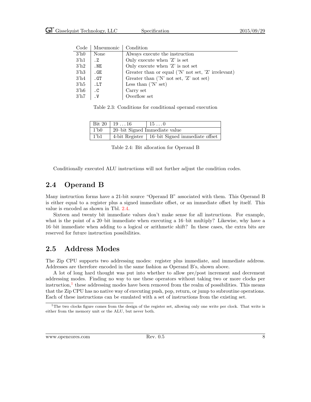| 3 <sup>h</sup> 0                                                                               |  |
|------------------------------------------------------------------------------------------------|--|
| None<br>Always execute the instruction                                                         |  |
| $3'$ h1<br>Only execute when $Z'$ is set<br>. Z                                                |  |
| Only execute when 'Z' is not set<br>3 <sup>h2</sup><br>.NE                                     |  |
| Greater than or equal $(N' \text{ not set}, 'Z' \text{ irrelevant})$<br>3 <sup>h3</sup><br>.GE |  |
| $3'$ h4<br>Greater than $(N' \text{ not set}, 'Z' \text{ not set})$<br>.GT                     |  |
| $3^{\prime}$ h5<br>Less than $(N \setminus \text{set})$<br>.LT                                 |  |
| $3'$ h6<br>Carry set<br>$\cdot$ C                                                              |  |
| Overflow set<br>$3'$ h7<br>$\cdot$ V                                                           |  |

 $C_{\alpha}$ de Mneumonic  $C_{\alpha}$ diti

<span id="page-14-2"></span>Table 2.3: Conditions for conditional operand execution

|                  | Bit 20   19 $\dots$ 16 | $\vert 15 \ldots 0 \vert$                       |
|------------------|------------------------|-------------------------------------------------|
| $1$ 'b $0$       |                        | 20-bit Signed Immediate value                   |
| 1 <sup>h</sup> 1 |                        | 4-bit Register   16-bit Signed immediate offset |

<span id="page-14-3"></span>Table 2.4: Bit allocation for Operand B

Conditionally executed ALU instructions will not further adjust the condition codes.

#### <span id="page-14-0"></span>2.4 Operand B

Many instruction forms have a 21-bit source "Operand B" associated with them. This Operand B is either equal to a register plus a signed immediate offset, or an immediate offset by itself. This value is encoded as shown in Tbl. [2.4.](#page-14-3)

Sixteen and twenty bit immediate values don't make sense for all instructions. For example, what is the point of a 20–bit immediate when executing a 16–bit multiply? Likewise, why have a 16–bit immediate when adding to a logical or arithmetic shift? In these cases, the extra bits are reserved for future instruction possibilities.

#### <span id="page-14-1"></span>2.5 Address Modes

The Zip CPU supports two addressing modes: register plus immediate, and immediate address. Addresses are therefore encoded in the same fashion as Operand B's, shown above.

A lot of long hard thought was put into whether to allow pre/post increment and decrement addressing modes. Finding no way to use these operators without taking two or more clocks per instruction,<sup>[1](#page-14-4)</sup> these addressing modes have been removed from the realm of possibilities. This means that the Zip CPU has no native way of executing push, pop, return, or jump to subroutine operations. Each of these instructions can be emulated with a set of instructions from the existing set.

<span id="page-14-4"></span><sup>&</sup>lt;sup>1</sup>The two clocks figure comes from the design of the register set, allowing only one write per clock. That write is either from the memory unit or the ALU, but never both.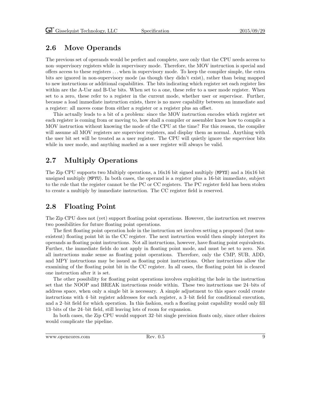### <span id="page-15-0"></span>2.6 Move Operands

The previous set of operands would be perfect and complete, save only that the CPU needs access to non–supervisory registers while in supervisory mode. Therefore, the MOV instruction is special and offers access to these registers . . . when in supervisory mode. To keep the compiler simple, the extra bits are ignored in non-supervisory mode (as though they didn't exist), rather than being mapped to new instructions or additional capabilities. The bits indicating which register set each register lies within are the A-Usr and B-Usr bits. When set to a one, these refer to a user mode register. When set to a zero, these refer to a register in the current mode, whether user or supervisor. Further, because a load immediate instruction exists, there is no move capability between an immediate and a register: all moves come from either a register or a register plus an offset.

This actually leads to a bit of a problem: since the MOV instruction encodes which register set each register is coming from or moving to, how shall a compiler or assembler know how to compile a MOV instruction without knowing the mode of the CPU at the time? For this reason, the compiler will assume all MOV registers are supervisor registers, and display them as normal. Anything with the user bit set will be treated as a user register. The CPU will quietly ignore the supervisor bits while in user mode, and anything marked as a user register will always be valid.

### <span id="page-15-1"></span>2.7 Multiply Operations

The Zip CPU supports two Multiply operations, a 16x16 bit signed multiply (MPYS) and a 16x16 bit unsigned multiply (MPYU). In both cases, the operand is a register plus a 16-bit immediate, subject to the rule that the register cannot be the PC or CC registers. The PC register field has been stolen to create a multiply by immediate instruction. The CC register field is reserved.

### <span id="page-15-2"></span>2.8 Floating Point

The Zip CPU does not (yet) support floating point operations. However, the instruction set reserves two possibilities for future floating point operations.

The first floating point operation hole in the instruction set involves setting a proposed (but nonexistent) floating point bit in the CC register. The next instruction would then simply interpret its operands as floating point instructions. Not all instructions, however, have floating point equivalents. Further, the immediate fields do not apply in floating point mode, and must be set to zero. Not all instructions make sense as floating point operations. Therefore, only the CMP, SUB, ADD, and MPY instructions may be issued as floating point instructions. Other instructions allow the examining of the floating point bit in the CC register. In all cases, the floating point bit is cleared one instruction after it is set.

The other possibility for floating point operations involves exploiting the hole in the instruction set that the NOOP and BREAK instructions reside within. These two instructions use 24–bits of address space, when only a single bit is necessary. A simple adjustment to this space could create instructions with 4–bit register addresses for each register, a 3–bit field for conditional execution, and a 2–bit field for which operation. In this fashion, such a floating point capability would only fill 13–bits of the 24–bit field, still leaving lots of room for expansion.

In both cases, the Zip CPU would support 32–bit single precision floats only, since other choices would complicate the pipeline.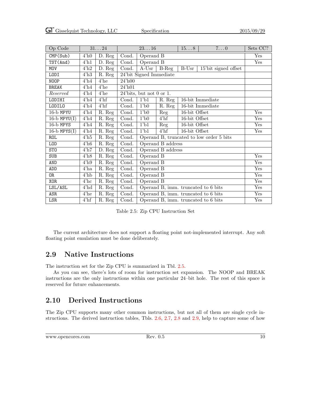| Op Code           |                  | 3124                 | $23\ldots16$ |                                     | 158               | $7\ldots 0$   | Sets CC?                                 |     |
|-------------------|------------------|----------------------|--------------|-------------------------------------|-------------------|---------------|------------------------------------------|-----|
| CMP(Sub)          | 4 <sup>h</sup> 0 | $\overline{D}$ . Reg | Cond.        | Operand B                           |                   |               | Yes                                      |     |
| TST(And)          | $4^{\prime}$ h1  | $\overline{D}$ . Reg | Cond.        | Operand B                           |                   |               |                                          | Yes |
| <b>MOV</b>        | 4'h2             | $\bar{D}$ . Reg      | Cond.        | $A$ -Usr                            | $B-Reg$           | $B-Usr$       | 15'bit signed offset                     |     |
| LODI              | 4'h3             | R. Reg               |              | 24'bit Signed Immediate             |                   |               |                                          |     |
| NOOP              | $4^{\prime}$ h4  | $4'$ he              | $24'$ h00    |                                     |                   |               |                                          |     |
| <b>BREAK</b>      | $4^{\prime}$ h4  | $4'$ he              | $24'$ h $01$ |                                     |                   |               |                                          |     |
| Reserved          | $4^{\prime}$ h4  | $4'$ he              |              | $24'$ bits, but not 0 or 1.         |                   |               |                                          |     |
| LODIHI            | 4' h4            | $4'$ hf              | Cond.        | $1$ b <sub>1</sub>                  | R. Reg            |               | 16-bit Immediate                         |     |
| LODILO            | 4' h4            | $4'$ hf              | Cond.        | 1 <sup>1</sup> b0                   | R. Reg            |               | 16-bit Immediate                         |     |
| $16-b$ MPYU       | $4^{\prime}$ h4  | $\overline{R}$ . Reg | Cond.        | $1$ b $0$                           | Reg               | 16-bit Offset |                                          | Yes |
| $16-b$ MPYU $(I)$ | $4^{\prime}$ h4  | R. Reg               | Cond.        | $1$ b $0$                           | $4'$ hf           | 16-bit Offset |                                          | Yes |
| 16-b MPYS         | $4^{\prime}$ h4  | R. Reg               | Cond.        | $1$ b <sub>1</sub>                  | Reg               | 16-bit Offset |                                          | Yes |
| $16-b$ MPYS $(I)$ | 4' h4            | R. Reg               | Cond.        | $1$ b <sub>1</sub>                  | $4'$ hf           | 16-bit Offset |                                          | Yes |
| <b>ROL</b>        | $4^{\prime}$ h5  | R. Reg               | Cond.        |                                     |                   |               | Operand B, truncated to low order 5 bits |     |
| L <sub>O</sub> D  | 4'h6             | R. Reg               | Cond.        |                                     | Operand B address |               |                                          |     |
| ST <sub>0</sub>   | $4^{\prime}$ h7  | D. Reg               | Cond.        |                                     | Operand B address |               |                                          |     |
| <b>SUB</b>        | 4'h8             | R. Reg               | Cond.        | Operand B                           |                   |               |                                          | Yes |
| AND               | 4'h9             | R. Reg               | Cond.        | Operand B                           |                   | Yes           |                                          |     |
| ADD               | $4'$ ha          | R. Reg               | Cond.        | Operand B                           |                   | Yes           |                                          |     |
| 0R                | $4'$ hb          | R. Reg               | Cond.        | Operand B                           |                   | Yes           |                                          |     |
| <b>XOR</b>        | $4'$ hc          | R. Reg               | Cond.        | Operand B                           |                   | Yes           |                                          |     |
| LSL/ASL           | 4'hd             | R. Reg               | Cond.        | Operand B, imm. truncated to 6 bits |                   |               | Yes                                      |     |
| ASR               | $4'$ he          | R. Reg               | Cond.        | Operand B, imm. truncated to 6 bits |                   |               | Yes                                      |     |
| LSR               | $4^{\prime}$ hf  | R. Reg               | Cond.        | Operand B, imm. truncated to 6 bits |                   | Yes           |                                          |     |

<span id="page-16-2"></span>Table 2.5: Zip CPU Instruction Set

The current architecture does not support a floating point not-implemented interrupt. Any soft floating point emulation must be done deliberately.

### <span id="page-16-0"></span>2.9 Native Instructions

The instruction set for the Zip CPU is summarized in Tbl. [2.5.](#page-16-2)

As you can see, there's lots of room for instruction set expansion. The NOOP and BREAK instructions are the only instructions within one particular 24–bit hole. The rest of this space is reserved for future enhancements.

### <span id="page-16-1"></span>2.10 Derived Instructions

The Zip CPU supports many other common instructions, but not all of them are single cycle instructions. The derived instruction tables, Tbls. [2.6,](#page-18-0) [2.7,](#page-19-0) [2.8](#page-20-0) and [2.9,](#page-21-1) help to capture some of how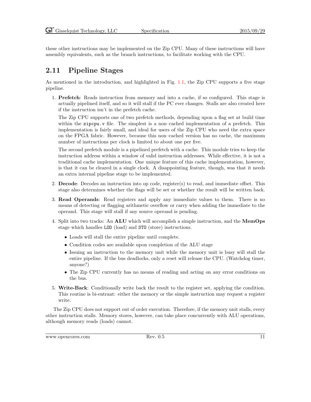these other instructions may be implemented on the Zip CPU. Many of these instructions will have assembly equivalents, such as the branch instructions, to facilitate working with the CPU.

### <span id="page-17-0"></span>2.11 Pipeline Stages

As mentioned in the introduction, and highlighted in Fig. [1.1,](#page-8-0) the Zip CPU supports a five stage pipeline.

1. Prefetch: Reads instruction from memory and into a cache, if so configured. This stage is actually pipelined itself, and so it will stall if the PC ever changes. Stalls are also created here if the instruction isn't in the prefetch cache.

The Zip CPU supports one of two prefetch methods, depending upon a flag set at build time within the zipcpu. v file. The simplest is a non–cached implementation of a prefetch. This implementation is fairly small, and ideal for users of the Zip CPU who need the extra space on the FPGA fabric. However, because this non–cached version has no cache, the maximum number of instructions per clock is limited to about one per five.

The second prefetch module is a pipelined prefetch with a cache. This module tries to keep the instruction address within a window of valid instruction addresses. While effective, it is not a traditional cache implementation. One unique feature of this cache implementation, however, is that it can be cleared in a single clock. A disappointing feature, though, was that it needs an extra internal pipeline stage to be implemented.

- 2. Decode: Decodes an instruction into op code, register(s) to read, and immediate offset. This stage also determines whether the flags will be set or whether the result will be written back.
- 3. Read Operands: Read registers and apply any immediate values to them. There is no means of detecting or flagging arithmetic overflow or carry when adding the immediate to the operand. This stage will stall if any source operand is pending.
- 4. Split into two tracks: An ALU which will accomplish a simple instruction, and the MemOps stage which handles LOD (load) and STO (store) instructions.
	- Loads will stall the entire pipeline until complete.
	- Condition codes are available upon completion of the ALU stage
	- Issuing an instruction to the memory unit while the memory unit is busy will stall the entire pipeline. If the bus deadlocks, only a reset will release the CPU. (Watchdog timer, anyone?)
	- The Zip CPU currently has no means of reading and acting on any error conditions on the bus.
- 5. Write-Back: Conditionally write back the result to the register set, applying the condition. This routine is bi-entrant: either the memory or the simple instruction may request a register write.

The Zip CPU does not support out of order execution. Therefore, if the memory unit stalls, every other instruction stalls. Memory stores, however, can take place concurrently with ALU operations, although memory reads (loads) cannot.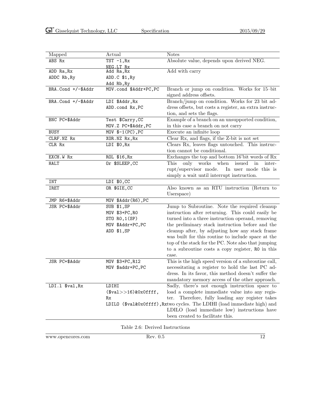| Mapped             | <b>Actual</b>           | <b>Notes</b>                                                             |
|--------------------|-------------------------|--------------------------------------------------------------------------|
| ABS Rx             | $TST - 1, Rx$           | Absolute value, depends upon derived NEG.                                |
|                    | NEG.LT Rx               |                                                                          |
| ADD Ra, Rx         | Add Ra, Rx              | Add with carry                                                           |
| ADDC Rb, Ry        | ADD.C \$1, Ry           |                                                                          |
|                    | Add Rb, Ry              |                                                                          |
| BRA.Cond +/-\$Addr | MOV.cond \$Addr+PC, PC  | Branch or jump on condition. Works for 15-bit                            |
|                    |                         | signed address offsets.                                                  |
| BRA.Cond +/-\$Addr | LDI \$Addr, Rx          | Branch/jump on condition. Works for 23 bit ad-                           |
|                    | ADD.cond Rx, PC         | dress offsets, but costs a register, an extra instruc-                   |
|                    |                         | tion, and sets the flags.                                                |
| BNC PC+\$Addr      | Test \$Carry, CC        | Example of a branch on an unsupported condition,                         |
|                    | MOV.Z PC+\$Addr, PC     | in this case a branch on not carry                                       |
| <b>BUSY</b>        | MOV \$-1(PC), PC        | Execute an infinite loop                                                 |
| CLRF.NZ Rx         | XOR.NZ Rx, Rx           | Clear Rx, and flags, if the Z-bit is not set                             |
| CLR Rx             | LDI \$0, Rx             | Clears Rx, leaves flags untouched. This instruc-                         |
|                    |                         | tion cannot be conditional.                                              |
| EXCH.W Rx          | ROL \$16, Rx            | Exchanges the top and bottom 16'bit words of Rx                          |
| <b>HALT</b>        | Or \$SLEEP, CC          | This<br>only works when<br>issued<br>inter-<br>in                        |
|                    |                         | rupt/supervisor mode.<br>In user mode this is                            |
|                    |                         | simply a wait until interrupt instruction.                               |
| INT                | LDI \$0,CC              |                                                                          |
| <b>IRET</b>        | OR \$GIE, CC            | Also known as an RTU instruction (Return to                              |
|                    |                         | Userspace)                                                               |
| JMP R6+\$Addr      | MOV \$Addr(R6), PC      |                                                                          |
| JSR PC+\$Addr      | SUB \$1,SP              | Jump to Subroutine. Note the required cleanup                            |
|                    | MOV \$3+PC, RO          | instruction after returning. This could easily be                        |
|                    | STO RO, 1(SP)           | turned into a three instruction operand, removing                        |
|                    | MOV \$Addr+PC, PC       | the preliminary stack instruction before and the                         |
|                    | ADD \$1,SP              | cleanup after, by adjusting how any stack frame                          |
|                    |                         | was built for this routine to include space at the                       |
|                    |                         | top of the stack for the PC. Note also that jumping                      |
|                    |                         | to a subroutine costs a copy register, RO in this                        |
|                    |                         | case.                                                                    |
| JSR PC+\$Addr      | MOV \$3+PC, R12         | This is the high speed version of a subroutine call,                     |
|                    | MOV \$addr+PC, PC       | necessitating a register to hold the last PC ad-                         |
|                    |                         | dress. In its favor, this method doesn't suffer the                      |
|                    |                         | mandatory memory access of the other approach.                           |
| LDI.1 \$val, Rx    | LDIHI                   | Sadly, there's not enough instruction space to                           |
|                    | $($val>>16)$ & OxOffff, | load a complete immediate value into any regis-                          |
|                    | Rx                      | Therefore, fully loading any register takes<br>ter.                      |
|                    |                         | LDILO (\$val&0x0ffff), Rxtwo cycles. The LDIHI (load immediate high) and |
|                    |                         | LDILO (load immediate low) instructions have                             |
|                    |                         | been created to facilitate this.                                         |
|                    |                         |                                                                          |

Table 2.6: Derived Instructions

www.opencores.com Rev. 0.5 12

<span id="page-18-0"></span>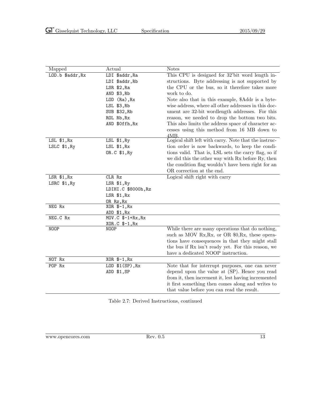| Mapped           | Actual                              | <b>Notes</b>                                          |
|------------------|-------------------------------------|-------------------------------------------------------|
| LOD.b \$addr, Rx | LDI \$addr, Ra                      | This CPU is designed for 32'bit word length in-       |
|                  | LDI \$addr, Rb                      | structions. Byte addressing is not supported by       |
|                  | LSR \$2, Ra                         | the CPU or the bus, so it therefore takes more        |
|                  | AND \$3, Rb                         | work to do.                                           |
|                  | LOD (Ra), Rx                        | Note also that in this example, \$Addr is a byte-     |
|                  | LSL \$3, Rb                         | wise address, where all other addresses in this doc-  |
|                  | SUB \$32, Rb                        | ument are 32-bit wordlength addresses. For this       |
|                  | ROL Rb, Rx                          | reason, we needed to drop the bottom two bits.        |
|                  | AND \$0ffh, Rx                      | This also limits the address space of character ac-   |
|                  |                                     | cesses using this method from 16 MB down to           |
|                  |                                     | 4MB.                                                  |
| LSL \$1, Rx      | $LSL$ \$1, $Ry$                     | Logical shift left with carry. Note that the instruc- |
| LSLC \$1, Ry     | LSL \$1, Rx                         | tion order is now backwards, to keep the condi-       |
|                  | OR.C \$1, Ry                        | tions valid. That is, LSL sets the carry flag, so if  |
|                  |                                     | we did this the other way with Rx before Ry, then     |
|                  |                                     | the condition flag wouldn't have been right for an    |
|                  |                                     | OR correction at the end.                             |
| $LSR$ \$1, $Rx$  | CLR Rz                              | Logical shift right with carry                        |
| LSRC \$1, Ry     | LSR \$1, Ry                         |                                                       |
|                  | LDIHI.C \$8000h, Rz                 |                                                       |
|                  | $LSR$ \$1, $Rx$                     |                                                       |
|                  | OR Rz, Rx                           |                                                       |
| NEG Rx           | $XOR$ $$-1, Rx$                     |                                                       |
| NEG.C Rx         | ADD \$1, Rx<br>$MOV.C$ $$-1+Rx, Rx$ |                                                       |
|                  | XOR.C \$-1, Rx                      |                                                       |
| NOOP             | NOOP                                | While there are many operations that do nothing,      |
|                  |                                     | such as MOV Rx, Rx, or OR \$0, Rx, these opera-       |
|                  |                                     | tions have consequences in that they might stall      |
|                  |                                     | the bus if Rx isn't ready yet. For this reason, we    |
|                  |                                     | have a dedicated NOOP instruction.                    |
| NOT Rx           | XOR \$-1, Rx                        |                                                       |
| POP Rx           | LOD $$1(SP)$ , Rx                   | Note that for interrupt purposes, one can never       |
|                  | ADD \$1,SP                          | depend upon the value at (SP). Hence you read         |
|                  |                                     | from it, then increment it, lest having incremented   |
|                  |                                     | it first something then comes along and writes to     |
|                  |                                     | that value before you can read the result.            |
|                  |                                     |                                                       |

<span id="page-19-0"></span>Table 2.7: Derived Instructions, continued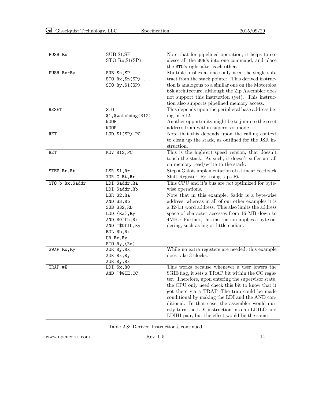| PUSH Rx          | SUB \$1, SP<br>$STO Rx$ , \$1 $(SP)$                               | Note that for pipelined operation, it helps to co-<br>alesce all the SUB's into one command, and place                                                                                                                                                                                                                                                                                                                   |
|------------------|--------------------------------------------------------------------|--------------------------------------------------------------------------------------------------------------------------------------------------------------------------------------------------------------------------------------------------------------------------------------------------------------------------------------------------------------------------------------------------------------------------|
|                  |                                                                    | the STO's right after each other.                                                                                                                                                                                                                                                                                                                                                                                        |
| PUSH Rx-Ry       | SUB \$n, SP<br>$ST0 Rx,$ \$n $(SP)$<br>$\cdots$<br>STO Ry, \$1(SP) | Multiple pushes at once only need the single sub-<br>tract from the stack pointer. This derived instruc-<br>tion is analogous to a similar one on the Motoroloa<br>68k architecture, although the Zip Assembler does<br>not support this instruction (yet). This instruc-                                                                                                                                                |
|                  |                                                                    | tion also supports pipelined memory access.                                                                                                                                                                                                                                                                                                                                                                              |
| <b>RESET</b>     | ST <sub>0</sub><br>\$1,\$watchdog(R12)<br><b>NOOP</b><br>NOOP      | This depends upon the peripheral base address be-<br>ing in $R12$ .<br>Another opportunity might be to jump to the reset<br>address from within supervisor mode.                                                                                                                                                                                                                                                         |
| RET              | $LOD$ $$1(SP)$ , $PC$                                              | Note that this depends upon the calling context<br>to clean up the stack, as outlined for the JSR in-<br>struction.                                                                                                                                                                                                                                                                                                      |
| RET              | MOV R12, PC                                                        | This is the high(er) speed version, that doesn't<br>touch the stack. As such, it doesn't suffer a stall<br>on memory read/write to the stack.                                                                                                                                                                                                                                                                            |
| STEP Rr, Rt      | LSR \$1, Rr                                                        | Step a Galois implementation of a Linear Feedback                                                                                                                                                                                                                                                                                                                                                                        |
|                  | XOR.C Rt, Rr                                                       | Shift Register, Rr, using taps Rt                                                                                                                                                                                                                                                                                                                                                                                        |
| STO.b Rx, \$addr | LDI \$addr, Ra                                                     | This CPU and it's bus are <i>not</i> optimized for byte-                                                                                                                                                                                                                                                                                                                                                                 |
|                  | LDI \$addr, Rb                                                     | wise operations.                                                                                                                                                                                                                                                                                                                                                                                                         |
|                  | LSR \$2, Ra                                                        | Note that in this example, \$addr is a byte-wise                                                                                                                                                                                                                                                                                                                                                                         |
|                  | AND \$3, Rb                                                        | address, whereas in all of our other examples it is                                                                                                                                                                                                                                                                                                                                                                      |
|                  | SUB \$32, Rb                                                       | a 32-bit word address. This also limits the address                                                                                                                                                                                                                                                                                                                                                                      |
|                  | LOD (Ra), Ry                                                       | space of character accesses from 16 MB down to                                                                                                                                                                                                                                                                                                                                                                           |
|                  | AND \$0ffh, Rx                                                     | 4MB.F Further, this instruction implies a byte or-                                                                                                                                                                                                                                                                                                                                                                       |
|                  | AND ~\$0ffh, Ry<br>ROL Rb, Rx                                      | dering, such as big or little endian.                                                                                                                                                                                                                                                                                                                                                                                    |
|                  | OR Rx, Ry                                                          |                                                                                                                                                                                                                                                                                                                                                                                                                          |
|                  | STO Ry, (Ra)                                                       |                                                                                                                                                                                                                                                                                                                                                                                                                          |
| SWAP Rx, Ry      | XOR Ry, Rx                                                         | While no extra registers are needed, this example                                                                                                                                                                                                                                                                                                                                                                        |
|                  | XOR Rx, Ry                                                         | does take 3-clocks.                                                                                                                                                                                                                                                                                                                                                                                                      |
|                  | XOR Ry, Rx                                                         |                                                                                                                                                                                                                                                                                                                                                                                                                          |
| TRAP #X          | LDI \$x, RO                                                        | This works because whenever a user lowers the                                                                                                                                                                                                                                                                                                                                                                            |
|                  | AND ~\$GIE, CC                                                     | \$GIE flag, it sets a TRAP bit within the CC regis-<br>ter. Therefore, upon entering the supervisor state,<br>the CPU only need check this bit to know that it<br>got there via a TRAP. The trap could be made<br>conditional by making the LDI and the AND con-<br>ditional. In that case, the assembler would qui-<br>etly turn the LDI instruction into an LDILO and<br>LDIHI pair, but the effect would be the same. |

<span id="page-20-0"></span>Table 2.8: Derived Instructions, continued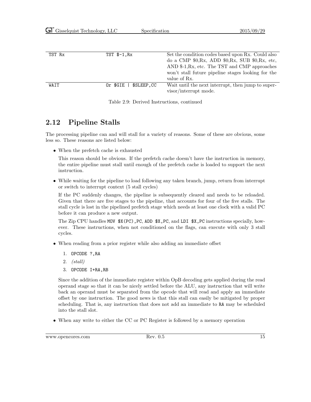| TST Rx | $TST$ $$-1,Rx$         | Set the condition codes based upon Rx. Could also   |
|--------|------------------------|-----------------------------------------------------|
|        |                        | do a CMP $$0,Rx$ , ADD $$0,Rx$ , SUB $$0,Rx$ , etc. |
|        |                        | AND $-1, Rx$ , etc. The TST and CMP approaches      |
|        |                        | won't stall future pipeline stages looking for the  |
|        |                        | value of Rx.                                        |
| WAIT   | \$SLEEP.CC<br>Or \$GIE | Wait until the next interrupt, then jump to super-  |
|        |                        | visor/interrupt mode.                               |

<span id="page-21-1"></span>Table 2.9: Derived Instructions, continued

### <span id="page-21-0"></span>2.12 Pipeline Stalls

The processing pipeline can and will stall for a variety of reasons. Some of these are obvious, some less so. These reasons are listed below:

• When the prefetch cache is exhausted

This reason should be obvious. If the prefetch cache doesn't have the instruction in memory, the entire pipeline must stall until enough of the prefetch cache is loaded to support the next instruction.

• While waiting for the pipeline to load following any taken branch, jump, return from interrupt or switch to interrupt context (5 stall cycles)

If the PC suddenly changes, the pipeline is subsequently cleared and needs to be reloaded. Given that there are five stages to the pipeline, that accounts for four of the five stalls. The stall cycle is lost in the pipelined prefetch stage which needs at least one clock with a valid PC before it can produce a new output.

The Zip CPU handles MOV \$X(PC),PC, ADD \$X,PC, and LDI \$X,PC instructions specially, however. These instructions, when not conditioned on the flags, can execute with only 3 stall cycles.

- When reading from a prior register while also adding an immediate offset
	- 1. OPCODE ?,RA
	- 2. (stall)
	- 3. OPCODE I+RA,RB

Since the addition of the immediate register within OpB decoding gets applied during the read operand stage so that it can be nicely settled before the ALU, any instruction that will write back an operand must be separated from the opcode that will read and apply an immediate offset by one instruction. The good news is that this stall can easily be mitigated by proper scheduling. That is, any instruction that does not add an immediate to RA may be scheduled into the stall slot.

• When any write to either the CC or PC Register is followed by a memory operation

www.opencores.com Rev. 0.5 15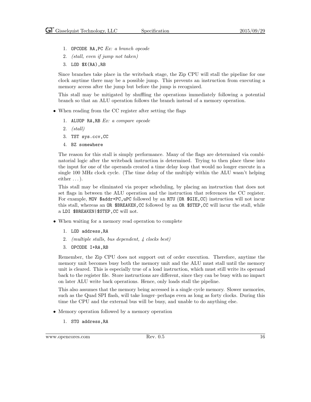- 1. OPCODE RA,PC Ex: a branch opcode
- 2. (stall, even if jump not taken)
- 3. LOD \$X(RA),RB

Since branches take place in the writeback stage, the Zip CPU will stall the pipeline for one clock anytime there may be a possible jump. This prevents an instruction from executing a memory access after the jump but before the jump is recognized.

This stall may be mitigated by shuffling the operations immediately following a potential branch so that an ALU operation follows the branch instead of a memory operation.

- When reading from the CC register after setting the flags
	- 1. ALUOP RA,RB Ex: a compare opcode
	- 2. (stall)
	- 3. TST sys.ccv,CC
	- 4. BZ somewhere

The reason for this stall is simply performance. Many of the flags are determined via combinatorial logic after the writeback instruction is determined. Trying to then place these into the input for one of the operands created a time delay loop that would no longer execute in a single 100 MHz clock cycle. (The time delay of the multiply within the ALU wasn't helping either  $\dots$ ).

This stall may be eliminated via proper scheduling, by placing an instruction that does not set flags in between the ALU operation and the instruction that references the CC register. For example, MOV \$addr+PC, uPC followed by an RTU (OR \$GIE, CC) instruction will not incur this stall, whereas an OR \$BREAKEN, CC followed by an OR \$STEP, CC will incur the stall, while a LDI \$BREAKEN|\$STEP,CC will not.

- When waiting for a memory read operation to complete
	- 1. LOD address,RA
	- 2. (multiple stalls, bus dependent, 4 clocks best)
	- 3. OPCODE I+RA,RB

Remember, the Zip CPU does not support out of order execution. Therefore, anytime the memory unit becomes busy both the memory unit and the ALU must stall until the memory unit is cleared. This is especially true of a load instruction, which must still write its operand back to the register file. Store instructions are different, since they can be busy with no impact on later ALU write back operations. Hence, only loads stall the pipeline.

This also assumes that the memory being accessed is a single cycle memory. Slower memories, such as the Quad SPI flash, will take longer–perhaps even as long as forty clocks. During this time the CPU and the external bus will be busy, and unable to do anything else.

- Memory operation followed by a memory operation
	- 1. STO address,RA

www.opencores.com Rev. 0.5 16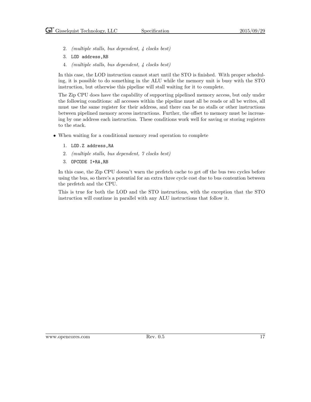- 2. (multiple stalls, bus dependent, 4 clocks best)
- 3. LOD address,RB
- 4. (multiple stalls, bus dependent, 4 clocks best)

In this case, the LOD instruction cannot start until the STO is finished. With proper scheduling, it is possible to do something in the ALU while the memory unit is busy with the STO instruction, but otherwise this pipeline will stall waiting for it to complete.

The Zip CPU does have the capability of supporting pipelined memory access, but only under the following conditions: all accesses within the pipeline must all be reads or all be writes, all must use the same register for their address, and there can be no stalls or other instructions between pipelined memory access instructions. Further, the offset to memory must be increasing by one address each instruction. These conditions work well for saving or storing registers to the stack.

- When waiting for a conditional memory read operation to complete
	- 1. LOD.Z address,RA
	- 2. (multiple stalls, bus dependent, 7 clocks best)
	- 3. OPCODE I+RA,RB

In this case, the Zip CPU doesn't warn the prefetch cache to get off the bus two cycles before using the bus, so there's a potential for an extra three cycle cost due to bus contention between the prefetch and the CPU.

This is true for both the LOD and the STO instructions, with the exception that the STO instruction will continue in parallel with any ALU instructions that follow it.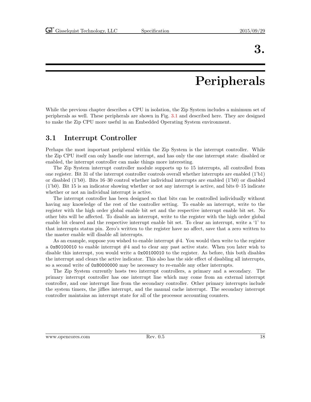### 3.

### Peripherals

<span id="page-24-0"></span>While the previous chapter describes a CPU in isolation, the Zip System includes a minimum set of peripherals as well. These peripherals are shown in Fig. [3.1](#page-25-3) and described here. They are designed to make the Zip CPU more useful in an Embedded Operating System environment.

#### <span id="page-24-1"></span>3.1 Interrupt Controller

Perhaps the most important peripheral within the Zip System is the interrupt controller. While the Zip CPU itself can only handle one interrupt, and has only the one interrupt state: disabled or enabled, the interrupt controller can make things more interesting.

The Zip System interrupt controller module supports up to 15 interrupts, all controlled from one register. Bit 31 of the interrupt controller controls overall whether interrupts are enabled (1'b1) or disabled (1'b0). Bits 16–30 control whether individual interrupts are enabled (1'b0) or disabled (1'b0). Bit 15 is an indicator showing whether or not any interrupt is active, and bits 0–15 indicate whether or not an individual interrupt is active.

The interrupt controller has been designed so that bits can be controlled individually without having any knowledge of the rest of the controller setting. To enable an interrupt, write to the register with the high order global enable bit set and the respective interrupt enable bit set. No other bits will be affected. To disable an interrupt, write to the register with the high order global enable bit cleared and the respective interrupt enable bit set. To clear an interrupt, write a '1' to that interrupts status pin. Zero's written to the register have no affect, save that a zero written to the master enable will disable all interrupts.

As an example, suppose you wished to enable interrupt  $#4$ . You would then write to the register a 0x80100010 to enable interrupt  $#4$  and to clear any past active state. When you later wish to disable this interrupt, you would write a 0x00100010 to the register. As before, this both disables the interrupt and clears the active indicator. This also has the side effect of disabling all interrupts, so a second write of 0x80000000 may be necessary to re-enable any other interrupts.

The Zip System currently hosts two interrupt controllers, a primary and a secondary. The primary interrupt controller has one interrupt line which may come from an external interrupt controller, and one interrupt line from the secondary controller. Other primary interrupts include the system timers, the jiffies interrupt, and the manual cache interrupt. The secondary interrupt controller maintains an interrupt state for all of the processor accounting counters.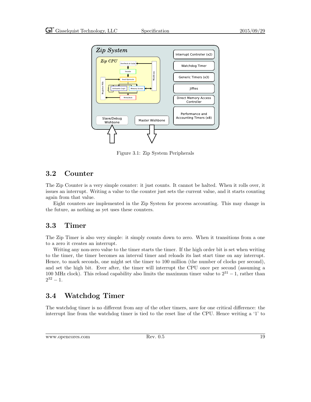

<span id="page-25-3"></span>Figure 3.1: Zip System Peripherals

#### <span id="page-25-0"></span>3.2 Counter

The Zip Counter is a very simple counter: it just counts. It cannot be halted. When it rolls over, it issues an interrupt. Writing a value to the counter just sets the current value, and it starts counting again from that value.

Eight counters are implemented in the Zip System for process accounting. This may change in the future, as nothing as yet uses these counters.

#### <span id="page-25-1"></span>3.3 Timer

The Zip Timer is also very simple: it simply counts down to zero. When it transitions from a one to a zero it creates an interrupt.

Writing any non-zero value to the timer starts the timer. If the high order bit is set when writing to the timer, the timer becomes an interval timer and reloads its last start time on any interrupt. Hence, to mark seconds, one might set the timer to 100 million (the number of clocks per second), and set the high bit. Ever after, the timer will interrupt the CPU once per second (assuming a 100 MHz clock). This reload capability also limits the maximum timer value to  $2^{31} - 1$ , rather than  $2^{32} - 1.$ 

### <span id="page-25-2"></span>3.4 Watchdog Timer

The watchdog timer is no different from any of the other timers, save for one critical difference: the interrupt line from the watchdog timer is tied to the reset line of the CPU. Hence writing a '1' to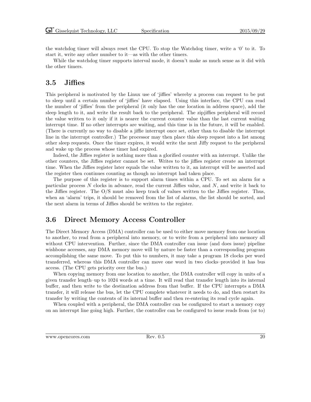the watchdog timer will always reset the CPU. To stop the Watchdog timer, write a '0' to it. To start it, write any other number to it—as with the other timers.

While the watchdog timer supports interval mode, it doesn't make as much sense as it did with the other timers.

#### <span id="page-26-0"></span>3.5 Jiffies

This peripheral is motivated by the Linux use of 'jiffies' whereby a process can request to be put to sleep until a certain number of 'jiffies' have elapsed. Using this interface, the CPU can read the number of 'jiffies' from the peripheral (it only has the one location in address space), add the sleep length to it, and write the result back to the peripheral. The zipjiffies peripheral will record the value written to it only if it is nearer the current counter value than the last current waiting interrupt time. If no other interrupts are waiting, and this time is in the future, it will be enabled. (There is currently no way to disable a jiffie interrupt once set, other than to disable the interrupt line in the interrupt controller.) The processor may then place this sleep request into a list among other sleep requests. Once the timer expires, it would write the next Jiffy request to the peripheral and wake up the process whose timer had expired.

Indeed, the Jiffies register is nothing more than a glorified counter with an interrupt. Unlike the other counters, the Jiffies register cannot be set. Writes to the jiffies register create an interrupt time. When the Jiffies register later equals the value written to it, an interrupt will be asserted and the register then continues counting as though no interrupt had taken place.

The purpose of this register is to support alarm times within a CPU. To set an alarm for a particular process  $N$  clocks in advance, read the current Jiffies value, and  $N$ , and write it back to the Jiffies register. The O/S must also keep track of values written to the Jiffies register. Thus, when an 'alarm' trips, it should be removed from the list of alarms, the list should be sorted, and the next alarm in terms of Jiffies should be written to the register.

#### <span id="page-26-1"></span>3.6 Direct Memory Access Controller

The Direct Memory Access (DMA) controller can be used to either move memory from one location to another, to read from a peripheral into memory, or to write from a peripheral into memory all without CPU intervention. Further, since the DMA controller can issue (and does issue) pipeline wishbone accesses, any DMA memory move will by nature be faster than a corresponding program accomplishing the same move. To put this to numbers, it may take a program 18 clocks per word transferred, whereas this DMA controller can move one word in two clocks–provided it has bus access. (The CPU gets priority over the bus.)

When copying memory from one location to another, the DMA controller will copy in units of a given transfer length–up to 1024 words at a time. It will read that transfer length into its internal buffer, and then write to the destination address from that buffer. If the CPU interrupts a DMA transfer, it will release the bus, let the CPU complete whatever it needs to do, and then restart its transfer by writing the contents of its internal buffer and then re-entering its read cycle again.

When coupled with a peripheral, the DMA controller can be configured to start a memory copy on an interrupt line going high. Further, the controller can be configured to issue reads from (or to)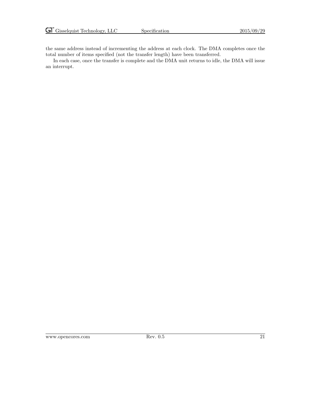the same address instead of incrementing the address at each clock. The DMA completes once the total number of items specified (not the transfer length) have been transferred.

In each case, once the transfer is complete and the DMA unit returns to idle, the DMA will issue an interrupt.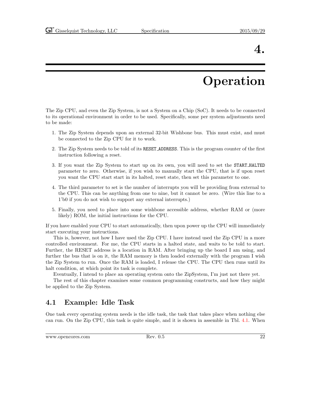### 4.

### Operation

<span id="page-28-0"></span>The Zip CPU, and even the Zip System, is not a System on a Chip (SoC). It needs to be connected to its operational environment in order to be used. Specifically, some per system adjustments need to be made:

- 1. The Zip System depends upon an external 32-bit Wishbone bus. This must exist, and must be connected to the Zip CPU for it to work.
- 2. The Zip System needs to be told of its RESET ADDRESS. This is the program counter of the first instruction following a reset.
- 3. If you want the Zip System to start up on its own, you will need to set the START HALTED parameter to zero. Otherwise, if you wish to manually start the CPU, that is if upon reset you want the CPU start start in its halted, reset state, then set this parameter to one.
- 4. The third parameter to set is the number of interrupts you will be providing from external to the CPU. This can be anything from one to nine, but it cannot be zero. (Wire this line to a 1'b0 if you do not wish to support any external interrupts.)
- 5. Finally, you need to place into some wishbone accessible address, whether RAM or (more likely) ROM, the initial instructions for the CPU.

If you have enabled your CPU to start automatically, then upon power up the CPU will immediately start executing your instructions.

This is, however, not how I have used the Zip CPU. I have instead used the Zip CPU in a more controlled environment. For me, the CPU starts in a halted state, and waits to be told to start. Further, the RESET address is a location in RAM. After bringing up the board I am using, and further the bus that is on it, the RAM memory is then loaded externally with the program I wish the Zip System to run. Once the RAM is loaded, I release the CPU. The CPU then runs until its halt condition, at which point its task is complete.

Eventually, I intend to place an operating system onto the ZipSystem, I'm just not there yet.

The rest of this chapter examines some common programming constructs, and how they might be applied to the Zip System.

#### <span id="page-28-1"></span>4.1 Example: Idle Task

One task every operating system needs is the idle task, the task that takes place when nothing else can run. On the Zip CPU, this task is quite simple, and it is shown in assemble in Tbl. [4.1.](#page-29-1) When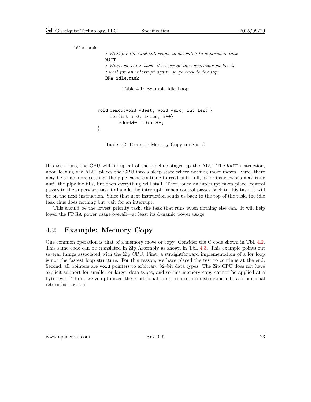```
idle task:
```
; Wait for the next interrupt, then switch to supervisor task WAIT ; When we come back, it's because the supervisor wishes to ; wait for an interrupt again, so go back to the top. BRA idle\_task

<span id="page-29-1"></span>Table 4.1: Example Idle Loop

```
void memcp(void *dest, void *src, int len) {
for(int i=0; i<len; i++)
    *dest++ = *src++;}
```
<span id="page-29-2"></span>Table 4.2: Example Memory Copy code in C

this task runs, the CPU will fill up all of the pipeline stages up the ALU. The WAIT instruction, upon leaving the ALU, places the CPU into a sleep state where nothing more moves. Sure, there may be some more settling, the pipe cache continue to read until full, other instructions may issue until the pipeline fills, but then everything will stall. Then, once an interrupt takes place, control passes to the supervisor task to handle the interrupt. When control passes back to this task, it will be on the next instruction. Since that next instruction sends us back to the top of the task, the idle task thus does nothing but wait for an interrupt.

This should be the lowest priority task, the task that runs when nothing else can. It will help lower the FPGA power usage overall—at least its dynamic power usage.

#### <span id="page-29-0"></span>4.2 Example: Memory Copy

One common operation is that of a memory move or copy. Consider the C code shown in Tbl. [4.2.](#page-29-2) This same code can be translated in Zip Assembly as shown in Tbl. [4.3.](#page-30-1) This example points out several things associated with the Zip CPU. First, a straightforward implementation of a for loop is not the fastest loop structure. For this reason, we have placed the test to continue at the end. Second, all pointers are void pointers to arbitrary 32–bit data types. The Zip CPU does not have explicit support for smaller or larger data types, and so this memory copy cannot be applied at a byte level. Third, we've optimized the conditional jump to a return instruction into a conditional return instruction.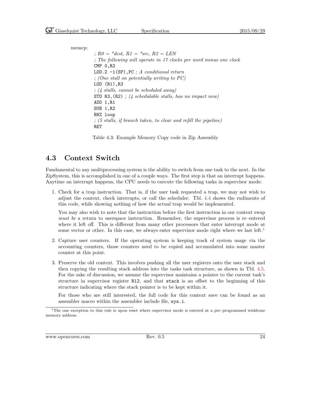memcp: ;  $R0 = *dest$ ,  $R1 = *src$ ,  $R2 = LEN$ ; The following will operate in 17 clocks per word minus one clock CMP 0,R2 LOD.Z  $-1(SP)$ , PC ; A conditional return ; (One stall on potentially writing to PC) LOD (R1),R3 ; (4 stalls, cannot be scheduled away) STO R3,  $(R2)$ ; (4 schedulable stalls, has no impact now) ADD 1,R1 SUB 1,R2 BNZ loop ; (5 stalls, if branch taken, to clear and refill the pipeline) RET

<span id="page-30-1"></span>Table 4.3: Example Memory Copy code in Zip Assembly

#### <span id="page-30-0"></span>4.3 Context Switch

Fundamental to any multiprocessing system is the ability to switch from one task to the next. In the ZipSystem, this is accomplished in one of a couple ways. The first step is that an interrupt happens. Anytime an interrupt happens, the CPU needs to execute the following tasks in supervisor mode:

1. Check for a trap instruction. That is, if the user task requested a trap, we may not wish to adjust the context, check interrupts, or call the scheduler. Tbl. [4.4](#page-31-0) shows the rudiments of this code, while showing nothing of how the actual trap would be implemented.

You may also wish to note that the instruction before the first instruction in our context swap must be a return to userspace instruction. Remember, the supervisor process is re–entered where it left off. This is different from many other processors that enter interrupt mode at some vector or other. In this case, we always enter supervisor mode right where we last left.<sup>[1](#page-30-2)</sup>

- 2. Capture user counters. If the operating system is keeping track of system usage via the accounting counters, those counters need to be copied and accumulated into some master counter at this point.
- 3. Preserve the old context. This involves pushing all the user registers onto the user stack and then copying the resulting stack address into the tasks task structure, as shown in Tbl. [4.5.](#page-31-1) For the sake of discussion, we assume the supervisor maintains a pointer to the current task's structure in supervisor register R12, and that stack is an offset to the beginning of this structure indicating where the stack pointer is to be kept within it.

For those who are still interested, the full code for this context save can be found as an assembler macro within the assembler include file, sys.i.

<span id="page-30-2"></span> $1$ The one exception to this rule is upon reset where supervisor mode is entered at a pre–programmed wishbone memory address.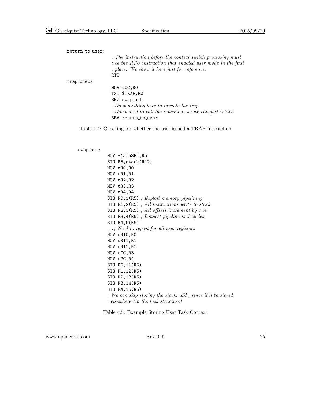| return_to_user: |                                                              |
|-----------------|--------------------------------------------------------------|
|                 | ; The instruction before the context switch processing must  |
|                 | ; be the RTU instruction that enacted user mode in the first |
|                 | ; place. We show it here just for reference.                 |
|                 | <b>RTU</b>                                                   |
| $trap\_check:$  |                                                              |
|                 | MOV uCC, RO                                                  |
|                 | TST \$TRAP, RO                                               |
|                 | BNZ swap_out                                                 |
|                 | : Do something here to execute the trap                      |
|                 | ; Don't need to call the scheduler, so we can just return    |
|                 | BRA return_to_user                                           |

Table 4.4: Checking for whether the user issued a TRAP instruction

#### swap\_out:

<span id="page-31-0"></span>

|  | $MOV -15(uSP), R5$                                             |
|--|----------------------------------------------------------------|
|  | STO R5, stack(R12)                                             |
|  | MOV uRO, RO                                                    |
|  | MOV uR1, R1                                                    |
|  | MOV uR2, R2                                                    |
|  | MOV uR3, R3                                                    |
|  | MOV uR4, R4                                                    |
|  | STO RO, $1(R5)$ ; Exploit memory pipelining:                   |
|  | STO $R1,2(R5)$ ; All instructions write to stack               |
|  | STO $R2,3(R5)$ ; All offsets increment by one                  |
|  | STO R3,4 $(R5)$ ; Longest pipeline is 5 cycles.                |
|  | STO R4,5(R5)                                                   |
|  | $\ldots$ ; Need to repeat for all user registers               |
|  | MOV uR10, RO                                                   |
|  | MOV uR11, R1                                                   |
|  | MOV uR12, R2                                                   |
|  | MOV uCC, R3                                                    |
|  | MOV uPC, R4                                                    |
|  | STO RO, 11 (R5)                                                |
|  | STO R1, 12(R5)                                                 |
|  | STO R2,13(R5)                                                  |
|  | STO R3, 14(R5)                                                 |
|  | STO R4,15(R5)                                                  |
|  | ; We can skip storing the stack, $uSP$ , since it'll be stored |
|  | $\mathcal{L}$ ; elsewhere (in the task structure)              |
|  |                                                                |

<span id="page-31-1"></span>Table 4.5: Example Storing User Task Context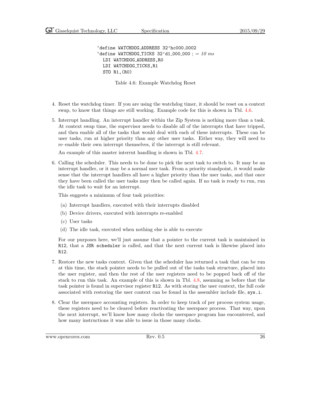'define WATCHDOG\_ADDRESS 32'hc000\_0002 'define WATCHDOG\_TICKS  $32' d1_000_000$  ; = 10 ms LDI WATCHDOG\_ADDRESS, RO LDI WATCHDOG\_TICKS, R1 STO R1,(R0)

<span id="page-32-0"></span>Table 4.6: Example Watchdog Reset

- 4. Reset the watchdog timer. If you are using the watchdog timer, it should be reset on a context swap, to know that things are still working. Example code for this is shown in Tbl. [4.6.](#page-32-0)
- 5. Interrupt handling. An interrupt handler within the Zip System is nothing more than a task. At context swap time, the supervisor needs to disable all of the interrupts that have tripped, and then enable all of the tasks that would deal with each of these interrupts. These can be user tasks, run at higher priority than any other user tasks. Either way, they will need to re–enable their own interrupt themselves, if the interrupt is still relevant.

An example of this master interrut handling is shown in Tbl. [4.7.](#page-33-0)

6. Calling the scheduler. This needs to be done to pick the next task to switch to. It may be an interrupt handler, or it may be a normal user task. From a priority standpoint, it would make sense that the interrupt handlers all have a higher priority than the user tasks, and that once they have been called the user tasks may then be called again. If no task is ready to run, run the idle task to wait for an interrupt.

This suggests a minimum of four task priorities:

- (a) Interrupt handlers, executed with their interrupts disabled
- (b) Device drivers, executed with interrupts re-enabled
- (c) User tasks
- (d) The idle task, executed when nothing else is able to execute

For our purposes here, we'll just assume that a pointer to the current task is maintained in R12, that a JSR scheduler is called, and that the next current task is likewise placed into R12.

- 7. Restore the new tasks context. Given that the scheduler has returned a task that can be run at this time, the stack pointer needs to be pulled out of the tasks task structure, placed into the user register, and then the rest of the user registers need to be popped back off of the stack to run this task. An example of this is shown in Tbl. [4.8,](#page-34-0) assuming as before that the task pointer is found in supervisor register R12. As with storing the user context, the full code associated with restoring the user context can be found in the assembler include file, sys.i.
- 8. Clear the userspace accounting registers. In order to keep track of per process system usage, these registers need to be cleared before reactivating the userspace process. That way, upon the next interrupt, we'll know how many clocks the userspace program has encountered, and how many instructions it was able to issue in those many clocks.

www.opencores.com Rev. 0.5 26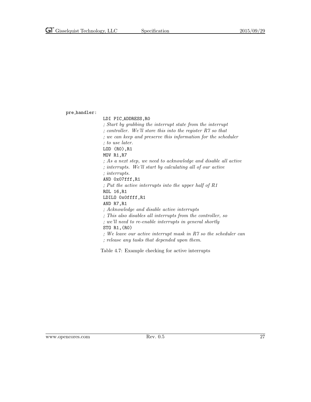pre handler:

<span id="page-33-0"></span>LDI PIC ADDRESS,R0 ; Start by grabbing the interrupt state from the interrupt ; controller. We'll store this into the register R7 so that ; we can keep and preserve this information for the scheduler ; to use later. LOD (R0),R1 MOV R1,R7 ; As a next step, we need to acknowledge and disable all active ; interrupts. We'll start by calculating all of our active ; interrupts. AND 0x07fff,R1 ; Put the active interrupts into the upper half of R1 ROL 16,R1 LDILO 0x0ffff,R1 AND R7,R1 ; Acknowledge and disable active interrupts ; This also disables all interrupts from the controller, so ; we'll need to re-enable interrupts in general shortly STO R1,(R0) ; We leave our active interrupt mask in R7 so the scheduler can ; release any tasks that depended upon them. Table 4.7: Example checking for active interrupts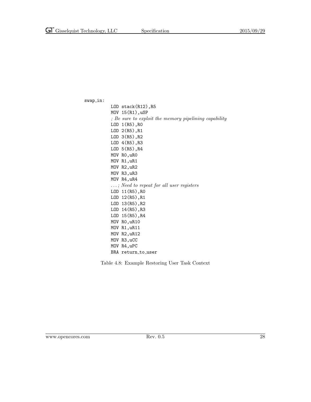$swap_in$ :

| $LOD$ stack $(R12)$ , R5                              |
|-------------------------------------------------------|
| $MOV$ 15 $(R1)$ , uSP                                 |
| ; Be sure to exploit the memory pipelining capability |
| $LOD 1(R5)$ , RO                                      |
| $LOD 2(R5)$ , R1                                      |
| $LOD \; 3(R5)$ , R2                                   |
| $LOD 4(R5)$ , R3                                      |
| $LOD 5(R5)$ , R4                                      |
| MOV RO, uRO                                           |
| MOV R1,uR1                                            |
| MOV R2, uR2                                           |
| MOV R3, uR3                                           |
| MOV R4, uR4                                           |
| $\ldots$ ; Need to repeat for all user registers      |
| LOD 11(R5), RO                                        |
| $LOD 12(R5)$ , R1                                     |
| LOD 13(R5), R2                                        |
| $LOD 14(R5)$ , R3                                     |
| LOD 15(R5), R4                                        |
| MOV RO, uR10                                          |
| MOV R1, uR11                                          |
| MOV R2, uR12                                          |
| MOV R3, uCC                                           |
| MOV R4, uPC                                           |
| BRA return_to_user                                    |

<span id="page-34-0"></span>Table 4.8: Example Restoring User Task Context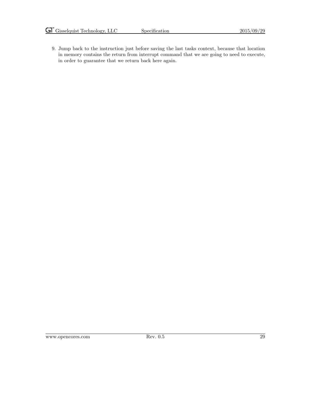9. Jump back to the instruction just before saving the last tasks context, because that location in memory contains the return from interrupt command that we are going to need to execute, in order to guarantee that we return back here again.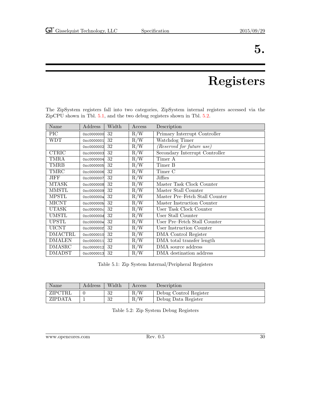### 5.

## Registers

| Name          | Address    | Width | Access | Description                    |
|---------------|------------|-------|--------|--------------------------------|
| PIC           | 0xc0000000 | 32    | R/W    | Primary Interrupt Controller   |
| WDT           | 0xc0000001 | 32    | R/W    | Watchdog Timer                 |
|               | 0xc0000002 | 32    | R/W    | (Reserved for future use)      |
| <b>CTRIC</b>  | 0xc0000003 | 32    | R/W    | Secondary Interrupt Controller |
| TMRA          | 0xc0000004 | 32    | R/W    | Timer A                        |
| TMRB          | 0xc0000005 | 32    | R/W    | Timer B                        |
| TMRC          | 0xc0000006 | 32    | R/W    | Timer C                        |
| JIFF          | 0xc0000007 | 32    | R/W    | Jiffies                        |
| MTASK         | 0xc0000008 | 32    | R/W    | Master Task Clock Counter      |
| MMSTL         | 0xc0000009 | 32    | R/W    | Master Stall Counter           |
| MPSTL         | 0xc000000a | 32    | R/W    | Master Pre-Fetch Stall Counter |
| <b>MICNT</b>  | 0xc000000b | 32    | R/W    | Master Instruction Counter     |
| UTASK         | 0xc000000c | 32    | R/W    | User Task Clock Counter        |
| UMSTL         | 0xc000000d | 32    | R/W    | User Stall Counter             |
| <b>UPSTL</b>  | 0xc000000e | 32    | R/W    | User Pre–Fetch Stall Counter   |
| <b>UICNT</b>  | 0xc000000f | 32    | R/W    | User Instruction Counter       |
| DMACTRL       | 0xc0000010 | 32    | R/W    | DMA Control Register           |
| <b>DMALEN</b> | 0xc0000011 | 32    | R/W    | DMA total transfer length      |

<span id="page-36-0"></span>The ZipSystem registers fall into two categories, ZipSystem internal registers accessed via the ZipCPU shown in Tbl. [5.1,](#page-36-1) and the two debug registers shown in Tbl. [5.2.](#page-36-2)

<span id="page-36-1"></span>Table 5.1: Zip System Internal/Peripheral Registers

DMASRC 0xc0000012 32 R/W DMA source address<br>DMADST 0xc0000013 32 R/W DMA destination add DMADST 0xc0000013 32 R/W DMA destination address

| Name    | Address | Width       | Access | Description            |
|---------|---------|-------------|--------|------------------------|
| ZIPCTRL |         | -29<br>∙J∠  | R/W    | Debug Control Register |
| ZIPDATA |         | - 20<br>∙J∠ | R/W    | Debug Data Register    |

<span id="page-36-2"></span>Table 5.2: Zip System Debug Registers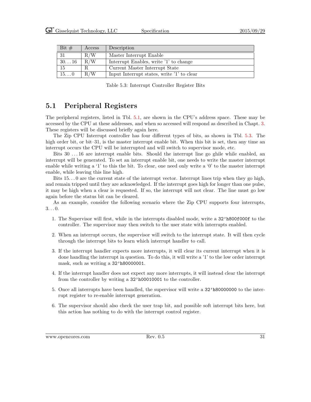| Bit $#$       | Access | Description                                |
|---------------|--------|--------------------------------------------|
| -31           | R/W    | Master Interrupt Enable                    |
| $30\ldots 16$ | R/W    | Interrupt Enables, write '1' to change     |
| 15            |        | Current Master Interrupt State             |
| $15\ldots 0$  | R/W    | Input Interrupt states, write '1' to clear |

<span id="page-37-1"></span>Table 5.3: Interrupt Controller Register Bits

#### <span id="page-37-0"></span>5.1 Peripheral Registers

The peripheral registers, listed in Tbl. [5.1,](#page-36-1) are shown in the CPU's address space. These may be accessed by the CPU at these addresses, and when so accessed will respond as described in Chapt. [3.](#page-24-0) These registers will be discussed briefly again here.

The Zip CPU Interrupt controller has four different types of bits, as shown in Tbl. [5.3.](#page-37-1) The high order bit, or bit–31, is the master interrupt enable bit. When this bit is set, then any time an interrupt occurs the CPU will be interrupted and will switch to supervisor mode, etc.

Bits 30 . . . 16 are interrupt enable bits. Should the interrupt line go ghile while enabled, an interrupt will be generated. To set an interrupt enable bit, one needs to write the master interrupt enable while writing a '1' to this the bit. To clear, one need only write a '0' to the master interrupt enable, while leaving this line high.

Bits  $15...0$  are the current state of the interrupt vector. Interrupt lines trip when they go high, and remain tripped until they are acknowledged. If the interrupt goes high for longer than one pulse, it may be high when a clear is requested. If so, the interrupt will not clear. The line must go low again before the status bit can be cleared.

As an example, consider the following scenario where the Zip CPU supports four interrupts,  $3\ldots 0$ .

- 1. The Supervisor will first, while in the interrupts disabled mode, write a 32'h800f000f to the controller. The supervisor may then switch to the user state with interrupts enabled.
- 2. When an interrupt occurs, the supervisor will switch to the interrupt state. It will then cycle through the interrupt bits to learn which interrupt handler to call.
- 3. If the interrupt handler expects more interrupts, it will clear its current interrupt when it is done handling the interrupt in question. To do this, it will write a '1' to the low order interrupt mask, such as writing a  $32'$ h80000001.
- 4. If the interrupt handler does not expect any more interrupts, it will instead clear the interrupt from the controller by writing a 32'h00010001 to the controller.
- 5. Once all interrupts have been handled, the supervisor will write a 32'h80000000 to the interrupt register to re-enable interrupt generation.
- 6. The supervisor should also check the user trap bit, and possible soft interrupt bits here, but this action has nothing to do with the interrupt control register.

www.opencores.com Rev. 0.5 31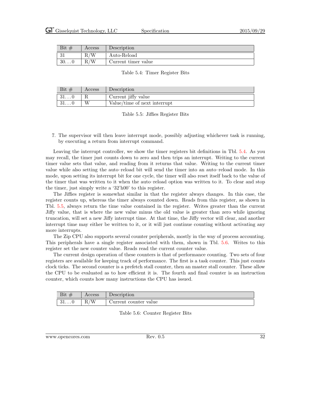| Bit<br># | Access | Description         |
|----------|--------|---------------------|
| IJТ      | W      | Auto-Reload         |
| 300      | 'W     | Current timer value |

#### <span id="page-38-0"></span>Table 5.4: Timer Register Bits

| Bit $#$      | Access | Description                  |
|--------------|--------|------------------------------|
| 310          |        | Current jiffy value          |
| $31\ldots 0$ |        | Value/time of next interrupt |

<span id="page-38-1"></span>Table 5.5: Jiffies Register Bits

7. The supervisor will then leave interrupt mode, possibly adjusting whichever task is running, by executing a return from interrupt command.

Leaving the interrupt controller, we show the timer registers bit definitions in Tbl. [5.4.](#page-38-0) As you may recall, the timer just counts down to zero and then trips an interrupt. Writing to the current timer value sets that value, and reading from it returns that value. Writing to the current timer value while also setting the auto–reload bit will send the timer into an auto–reload mode. In this mode, upon setting its interrupt bit for one cycle, the timer will also reset itself back to the value of the timer that was written to it when the auto–reload option was written to it. To clear and stop the timer, just simply write a '32'h00' to this register.

The Jiffies register is somewhat similar in that the register always changes. In this case, the register counts up, whereas the timer always counted down. Reads from this register, as shown in Tbl. [5.5,](#page-38-1) always return the time value contained in the register. Writes greater than the current Jiffy value, that is where the new value minus the old value is greater than zero while ignoring truncation, will set a new Jiffy interrupt time. At that time, the Jiffy vector will clear, and another interrupt time may either be written to it, or it will just continue counting without activating any more interrupts.

The Zip CPU also supports several counter peripherals, mostly in the way of process accounting. This peripherals have a single register associated with them, shown in Tbl. [5.6.](#page-38-2) Writes to this register set the new counter value. Reads read the current counter value.

The current design operation of these counters is that of performance counting. Two sets of four registers are available for keeping track of performance. The first is a task counter. This just counts clock ticks. The second counter is a prefetch stall counter, then an master stall counter. These allow the CPU to be evaluated as to how efficient it is. The fourth and final counter is an instruction counter, which counts how many instructions the CPU has issued.

| D <sub>10</sub><br>$\cdot$ | Access                                                     | Description                   |
|----------------------------|------------------------------------------------------------|-------------------------------|
| 01. U                      | / <del>.</del><br>$\overline{\phantom{0}}$<br>M<br>$\pm U$ | -<br>counter value<br>Current |

<span id="page-38-2"></span>Table 5.6: Counter Register Bits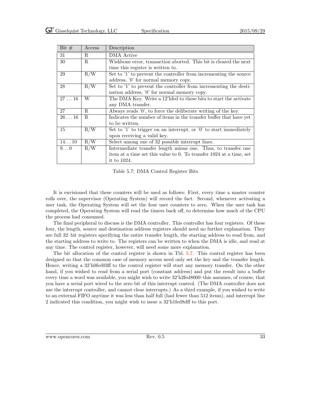| Bit $#$        | Access      | Description                                                         |
|----------------|-------------|---------------------------------------------------------------------|
| 31             | R.          | DMA Active                                                          |
| 30             | R.          | Wishbone error, transaction aborted. This bit is cleared the next   |
|                |             | time this register is written to.                                   |
| 29             | R/W         | Set to '1' to prevent the controller from incrementing the source   |
|                |             | address, '0' for normal memory copy.                                |
| 28             | R/W         | Set to '1' to prevent the controller from incrementing the desti-   |
|                |             | nation address, '0' for normal memory copy.                         |
| $27 \ldots 16$ | W           | The DMA Key. Write a 12'hfed to these bits to start the activate    |
|                |             | any DMA transfer.                                                   |
| 27             | R.          | Always reads '0', to force the deliberate writing of the key.       |
| $26 \ldots 16$ | $R_{\cdot}$ | Indicates the number of items in the transfer buffer that have yet  |
|                |             | to be written.                                                      |
| 15             | R/W         | Set to '1' to trigger on an interrupt, or '0' to start immediately  |
|                |             | upon receiving a valid key.                                         |
| 1410           | R/W         | Select among one of 32 possible interrupt lines.                    |
| $9\dots 0$     | R/W         | Intermediate transfer length minus one. Thus, to transfer one       |
|                |             | item at a time set this value to 0. To transfer 1024 at a time, set |
|                |             | it to 1024.                                                         |

<span id="page-39-0"></span>Table 5.7: DMA Control Register Bits

It is envisioned that these counters will be used as follows: First, every time a master counter rolls over, the supervisor (Operating System) will record the fact. Second, whenever activating a user task, the Operating System will set the four user counters to zero. When the user task has completed, the Operating System will read the timers back off, to determine how much of the CPU the process had consumed.

The final peripheral to discuss is the DMA controller. This controller has four registers. Of these four, the length, source and destination address registers should need no further explanation. They are full 32–bit registers specifying the entire transfer length, the starting address to read from, and the starting address to write to. The registers can be written to when the DMA is idle, and read at any time. The control register, however, will need some more explanation.

The bit allocation of the control register is shown in Tbl. [5.7.](#page-39-0) This control register has been designed so that the common case of memory access need only set the key and the transfer length. Hence, writing a 32'h0fed03ff to the control register will start any memory transfer. On the other hand, if you wished to read from a serial port (constant address) and put the result into a buffer every time a word was available, you might wish to write  $32$ 'h2fed8000–this assumes, of course, that you have a serial port wired to the zero bit of this interrupt control. (The DMA controller does not use the interrupt controller, and cannot clear interrupts.) As a third example, if you wished to write to an external FIFO anytime it was less than half full (had fewer than 512 items), and interrupt line 2 indicated this condition, you might wish to issue a 32'h1fed8dff to this port.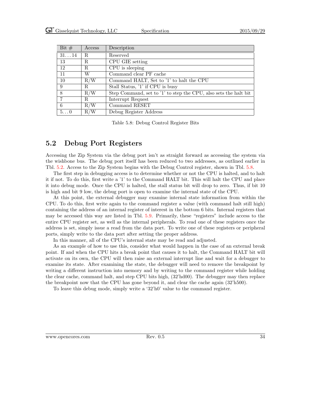| Bit $#$     | Access | Description                                                      |
|-------------|--------|------------------------------------------------------------------|
| 3114        | R.     | Reserved                                                         |
| 13          | R      | CPU GIE setting                                                  |
| 12          | R.     | CPU is sleeping                                                  |
| 11          | W      | Command clear PF cache                                           |
| 10          | R/W    | Command HALT, Set to '1' to halt the CPU                         |
| 9           | R      | Stall Status, '1' if CPU is busy                                 |
| 8           | R/W    | Step Command, set to '1' to step the CPU, also sets the halt bit |
| 7           | R.     | Interrupt Request                                                |
| 6           | R/W    | Command RESET                                                    |
| $5\ldots 0$ | R/W    | Debug Register Address                                           |

<span id="page-40-1"></span>Table 5.8: Debug Control Register Bits

#### <span id="page-40-0"></span>5.2 Debug Port Registers

Accessing the Zip System via the debug port isn't as straight forward as accessing the system via the wishbone bus. The debug port itself has been reduced to two addresses, as outlined earlier in Tbl. [5.2.](#page-36-2) Access to the Zip System begins with the Debug Control register, shown in Tbl. [5.8.](#page-40-1)

The first step in debugging access is to determine whether or not the CPU is halted, and to halt it if not. To do this, first write a '1' to the Command HALT bit. This will halt the CPU and place it into debug mode. Once the CPU is halted, the stall status bit will drop to zero. Thus, if bit 10 is high and bit 9 low, the debug port is open to examine the internal state of the CPU.

At this point, the external debugger may examine internal state information from within the CPU. To do this, first write again to the command register a value (with command halt still high) containing the address of an internal register of interest in the bottom 6 bits. Internal registers that may be accessed this way are listed in Tbl. [5.9.](#page-41-0) Primarily, these "registers" include access to the entire CPU register set, as well as the internal peripherals. To read one of these registers once the address is set, simply issue a read from the data port. To write one of these registers or peripheral ports, simply write to the data port after setting the proper address.

In this manner, all of the CPU's internal state may be read and adjusted.

As an example of how to use this, consider what would happen in the case of an external break point. If and when the CPU hits a break point that causes it to halt, the Command HALT bit will activate on its own, the CPU will then raise an external interrupt line and wait for a debugger to examine its state. After examining the state, the debugger will need to remove the breakpoint by writing a different instruction into memory and by writing to the command register while holding the clear cache, command halt, and step CPU bits high, (32'hd00). The debugger may then replace the breakpoint now that the CPU has gone beyond it, and clear the cache again (32'h500).

To leave this debug mode, simply write a '32'h0' value to the command register.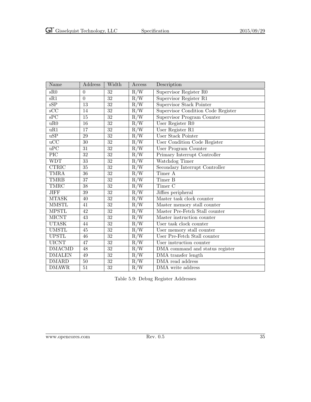| Name                    | Address         | Width           | Access                             | Description                         |
|-------------------------|-----------------|-----------------|------------------------------------|-------------------------------------|
| sR0                     | $\overline{0}$  | 32              | R/W                                | Supervisor Register R0              |
| sR1                     | $\overline{0}$  | $\overline{32}$ | $R/\overline{W}$                   | Supervisor Register R1              |
| sSP                     | $\overline{13}$ | $\overline{32}$ | R/W                                | <b>Supervisor Stack Pointer</b>     |
| $\overline{\text{sCC}}$ | 14              | 32              | R/W                                | Supervisor Condition Code Register  |
| $\overline{\text{sPC}}$ | $\overline{15}$ | $\overline{32}$ | R/W                                | Supervisor Program Counter          |
| uR0                     | $\overline{16}$ | $\overline{32}$ | $R/\overline{W}$                   | User Register R0                    |
| uR1                     | $\overline{17}$ | $\overline{32}$ | R/W                                | User Register R1                    |
| $\overline{uSP}$        | $\overline{29}$ | $\overline{32}$ | R/W                                | User Stack Pointer                  |
| $\overline{uCC}$        | $\overline{30}$ | $\overline{32}$ | R/W                                | <b>User Condition Code Register</b> |
| $\overline{uPC}$        | $\overline{31}$ | $\overline{32}$ | $\overline{\mathrm{R}/\mathrm{W}}$ | User Program Counter                |
| $\overline{\text{PIC}}$ | $\overline{32}$ | $\overline{32}$ | R/W                                | Primary Interrupt Controller        |
| <b>WDT</b>              | $\overline{33}$ | $\overline{32}$ | R/W                                | Watchdog Timer                      |
| <b>CTRIC</b>            | $\overline{35}$ | $\overline{32}$ | R/W                                | Secondary Interrupt Controller      |
| <b>TMRA</b>             | $\overline{36}$ | $\overline{32}$ | R/W                                | Timer A                             |
| <b>TMRB</b>             | $\overline{37}$ | $\overline{32}$ | R/W                                | Timer B                             |
| TMRC                    | $\overline{38}$ | $\overline{32}$ | R/W                                | Timer <sub>C</sub>                  |
| <b>JIFF</b>             | $\overline{39}$ | $\overline{32}$ | $R/\overline{W}$                   | Jiffies peripheral                  |
| <b>MTASK</b>            | 40              | 32              | R/W                                | Master task clock counter           |
| <b>MMSTL</b>            | 41              | $\overline{32}$ | R/W                                | Master memory stall counter         |
| <b>MPSTL</b>            | 42              | $\overline{32}$ | R/W                                | Master Pre-Fetch Stall counter      |
| <b>MICNT</b>            | 43              | $\overline{32}$ | R/W                                | Master instruction counter          |
| <b>UTASK</b>            | 44              | $\overline{32}$ | R/W                                | User task clock counter             |
| <b>UMSTL</b>            | 45              | $\overline{32}$ | $\overline{R/W}$                   | User memory stall counter           |
| <b>UPSTL</b>            | 46              | $\overline{32}$ | $R/\overline{W}$                   | User Pre-Fetch Stall counter        |
| <b>UICNT</b>            | $\overline{47}$ | $\overline{32}$ | R/W                                | User instruction counter            |
| <b>DMACMD</b>           | $\overline{48}$ | $\overline{32}$ | $R/\overline{W}$                   | DMA command and status register     |
| <b>DMALEN</b>           | $\overline{49}$ | $\overline{32}$ | R/W                                | <b>DMA</b> transfer length          |
| <b>DMARD</b>            | $\overline{50}$ | $\overline{32}$ | $R/\overline{W}$                   | DMA read address                    |
| <b>DMAWR</b>            | $\overline{51}$ | $\overline{32}$ | R/W                                | DMA write address                   |

<span id="page-41-0"></span>Table 5.9: Debug Register Addresses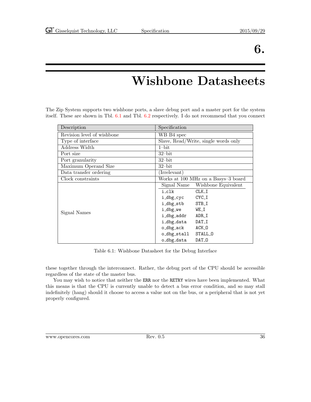### 6.

### Wishbone Datasheets

<span id="page-42-0"></span>The Zip System supports two wishbone ports, a slave debug port and a master port for the system itself. These are shown in Tbl. [6.1](#page-42-1) and Tbl. [6.2](#page-43-0) respectively. I do not recommend that you connect

| Description                | Specification                        |  |  |
|----------------------------|--------------------------------------|--|--|
| Revision level of wishbone | WB B4 spec                           |  |  |
| Type of interface          | Slave, Read/Write, single words only |  |  |
| Address Width              | $1$ -bit                             |  |  |
| Port size                  | $32$ -bit                            |  |  |
| Port granularity           | $32$ -bit                            |  |  |
| Maximum Operand Size       | $32$ -bit                            |  |  |
| Data transfer ordering     | (Irrelevant)                         |  |  |
| Clock constraints          | Works at 100 MHz on a Basys-3 board  |  |  |
|                            | Signal Name<br>Wishbone Equivalent   |  |  |
|                            | i_clk<br>$CLK_I$                     |  |  |
|                            | CYC_I<br>i_dbg_cyc                   |  |  |
|                            | i_dbg_stb<br>STB_I                   |  |  |
| Signal Names               | i_dbg_we<br>WE_I                     |  |  |
|                            | i_dbg_addr<br>ADR_I                  |  |  |
|                            | i_dbg_data<br>DAT_I                  |  |  |
|                            | o_dbg_ack<br>ACK_0                   |  |  |
|                            | STALL_0<br>o_dbg_stall               |  |  |
|                            | o_dbg_data<br>DAT <sub>-0</sub>      |  |  |

<span id="page-42-1"></span>Table 6.1: Wishbone Datasheet for the Debug Interface

these together through the interconnect. Rather, the debug port of the CPU should be accessible regardless of the state of the master bus.

You may wish to notice that neither the ERR nor the RETRY wires have been implemented. What this means is that the CPU is currently unable to detect a bus error condition, and so may stall indefinitely (hang) should it choose to access a value not on the bus, or a peripheral that is not yet properly configured.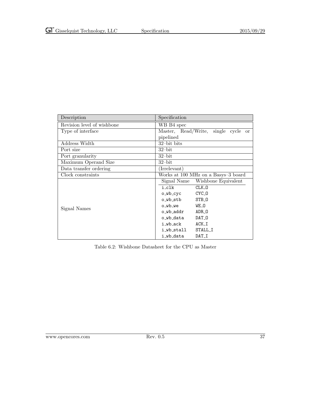| Description                | Specification                                 |
|----------------------------|-----------------------------------------------|
| Revision level of wishbone | WB B4 spec                                    |
| Type of interface          | Master, Read/Write, single cycle<br><b>or</b> |
|                            | pipelined                                     |
| Address Width              | 32-bit bits                                   |
| Port size                  | $32$ -bit                                     |
| Port granularity           | $32$ -bit                                     |
| Maximum Operand Size       | $32$ -bit                                     |
| Data transfer ordering     | (Irrelevant)                                  |
| Clock constraints          | Works at 100 MHz on a Basys-3 board           |
|                            | Signal Name<br>Wishbone Equivalent            |
|                            | i_clk<br>CLK_0                                |
|                            | CYC_0<br>o_wb_cyc                             |
|                            | o_wb_stb<br>STB_0                             |
| Signal Names               | WE_O<br>o_wb_we                               |
|                            | ADR_0<br>o_wb_addr                            |
|                            | o_wb_data<br>DAT_0                            |
|                            | $ACK_I$<br>i_wb_ack                           |
|                            | STALL I<br>i wb stall                         |
|                            | i_wb_data<br>DAT_I                            |

<span id="page-43-0"></span>Table 6.2: Wishbone Datasheet for the CPU as Master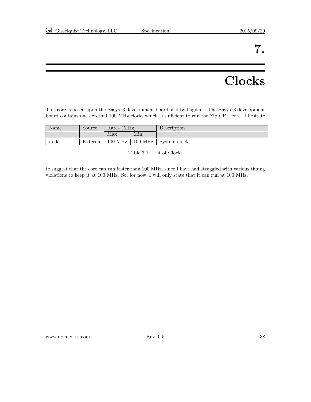### 7.

### **Clocks**

<span id="page-44-0"></span>This core is based upon the Basys–3 development board sold by Digilent. The Basys–3 development board contains one external 100 MHz clock, which is sufficient to run the Zip CPU core. I hesitate

| Name  | Source   | Rates (MHz) |                     | Description   |
|-------|----------|-------------|---------------------|---------------|
|       |          | Max         | Min                 |               |
| i_clk | External | $100$ MHz   | $100\;\mathrm{MHz}$ | System clock. |

<span id="page-44-1"></span>Table 7.1: List of Clocks

to suggest that the core can run faster than 100 MHz, since I have had struggled with various timing violations to keep it at 100 MHz. So, for now, I will only state that it can run at 100 MHz.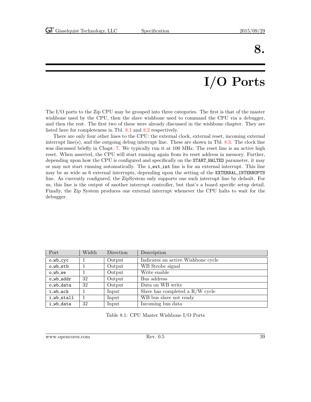### 8.

# I/O Ports

<span id="page-45-0"></span>The I/O ports to the Zip CPU may be grouped into three categories. The first is that of the master wishbone used by the CPU, then the slave wishbone used to command the CPU via a debugger, and then the rest. The first two of these were already discussed in the wishbone chapter. They are listed here for completeness in Tbl. [8.1](#page-45-1) and [8.2](#page-46-0) respectively.

There are only four other lines to the CPU: the external clock, external reset, incoming external interrupt line(s), and the outgoing debug interrupt line. These are shown in Tbl. [8.3.](#page-46-1) The clock line was discussed briefly in Chapt. [7.](#page-44-0) We typically run it at 100 MHz. The reset line is an active high reset. When asserted, the CPU will start running again from its reset address in memory. Further, depending upon how the CPU is configured and specifically on the START HALTED parameter, it may or may not start running automatically. The **i\_ext\_int** line is for an external interrupt. This line may be as wide as 6 external interrupts, depending upon the setting of the EXTERNAL INTERRUPTS line. As currently configured, the ZipSystem only supports one such interrupt line by default. For us, this line is the output of another interrupt controller, but that's a board specific setup detail. Finally, the Zip System produces one external interrupt whenever the CPU halts to wait for the debugger.

| Port       | Width | Direction | Description                        |
|------------|-------|-----------|------------------------------------|
| o_wb_cyc   |       | Output    | Indicates an active Wishbone cycle |
| o_wb_stb   |       | Output    | WB Strobe signal                   |
| o_wb_we    |       | Output    | Write enable                       |
| o wb addr  | 32    | Output    | Bus address                        |
| o_wb_data  | 32    | Output    | Data on WB write                   |
| i wb ack   |       | Input     | Slave has completed a $R/W$ cycle  |
| i wb stall |       | Input     | WB bus slave not ready             |
| i_wb_data  | 32    | Input     | Incoming bus data                  |

<span id="page-45-1"></span>Table 8.1: CPU Master Wishbone I/O Ports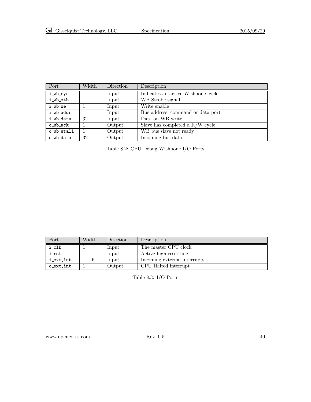| Port       | Width | Direction | Description                        |
|------------|-------|-----------|------------------------------------|
| i_wb_cyc   |       | Input     | Indicates an active Wishbone cycle |
| i_wb_stb   |       | Input     | WB Strobe signal                   |
| i_wb_we    |       | Input     | Write enable                       |
| i_wb_addr  |       | Input     | Bus address, command or data port  |
| i_wb_data  | 32    | Input     | Data on WB write                   |
| o_wb_ack   |       | Output    | Slave has completed a $R/W$ cycle  |
| o_wb_stall |       | Output    | WB bus slave not ready             |
| o_wb_data  | 32    | Output    | Incoming bus data                  |

<span id="page-46-0"></span>Table 8.2: CPU Debug Wishbone I/O Ports

| Port      | Width | Direction | Description                  |
|-----------|-------|-----------|------------------------------|
| i_clk     |       | Input     | The master CPU clock         |
| irst      |       | Input     | Active high reset line       |
| i_ext_int |       | Input     | Incoming external interrupts |
| o_ext_int |       | Output    | CPU Halted interrupt         |

<span id="page-46-1"></span>Table 8.3: I/O Ports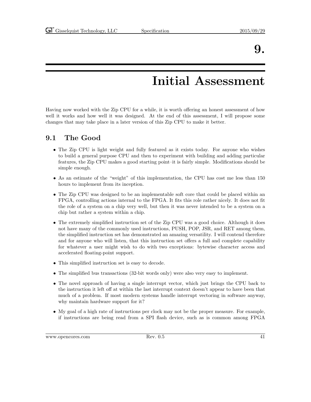### 9.

### Initial Assessment

<span id="page-47-0"></span>Having now worked with the Zip CPU for a while, it is worth offering an honest assessment of how well it works and how well it was designed. At the end of this assessment, I will propose some changes that may take place in a later version of this Zip CPU to make it better.

### <span id="page-47-1"></span>9.1 The Good

- The Zip CPU is light weight and fully featured as it exists today. For anyone who wishes to build a general purpose CPU and then to experiment with building and adding particular features, the Zip CPU makes a good starting point–it is fairly simple. Modifications should be simple enough.
- As an estimate of the "weight" of this implementation, the CPU has cost me less than 150 hours to implement from its inception.
- The Zip CPU was designed to be an implementable soft core that could be placed within an FPGA, controlling actions internal to the FPGA. It fits this role rather nicely. It does not fit the role of a system on a chip very well, but then it was never intended to be a system on a chip but rather a system within a chip.
- The extremely simplified instruction set of the Zip CPU was a good choice. Although it does not have many of the commonly used instructions, PUSH, POP, JSR, and RET among them, the simplified instruction set has demonstrated an amazing versatility. I will contend therefore and for anyone who will listen, that this instruction set offers a full and complete capability for whatever a user might wish to do with two exceptions: bytewise character access and accelerated floating-point support.
- This simplified instruction set is easy to decode.
- The simplified bus transactions (32-bit words only) were also very easy to implement.
- The novel approach of having a single interrupt vector, which just brings the CPU back to the instruction it left off at within the last interrupt context doesn't appear to have been that much of a problem. If most modern systems handle interrupt vectoring in software anyway, why maintain hardware support for it?
- My goal of a high rate of instructions per clock may not be the proper measure. For example, if instructions are being read from a SPI flash device, such as is common among FPGA

www.opencores.com Rev. 0.5 41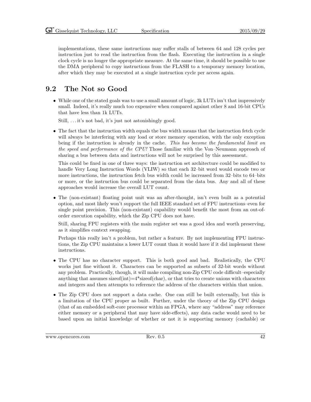implementations, these same instructions may suffer stalls of between 64 and 128 cycles per instruction just to read the instruction from the flash. Executing the instruction in a single clock cycle is no longer the appropriate measure. At the same time, it should be possible to use the DMA peripheral to copy instructions from the FLASH to a temporary memory location, after which they may be executed at a single instruction cycle per access again.

#### <span id="page-48-0"></span>9.2 The Not so Good

• While one of the stated goals was to use a small amount of logic,  $3k$  LUTs isn't that impressively small. Indeed, it's really much too expensive when compared against other 8 and 16-bit CPUs that have less than 1k LUTs.

Still, . . . it's not bad, it's just not astonishingly good.

• The fact that the instruction width equals the bus width means that the instruction fetch cycle will always be interfering with any load or store memory operation, with the only exception being if the instruction is already in the cache. This has become the fundamental limit on the speed and performance of the CPU! Those familiar with the Von–Neumann approach of sharing a bus between data and instructions will not be surprised by this assessment.

This could be fixed in one of three ways: the instruction set architecture could be modified to handle Very Long Instruction Words (VLIW) so that each 32–bit word would encode two or more instructions, the instruction fetch bus width could be increased from 32–bits to 64–bits or more, or the instruction bus could be separated from the data bus. Any and all of these approaches would increase the overall LUT count.

• The (non-existant) floating point unit was an after-thought, isn't even built as a potential option, and most likely won't support the full IEEE standard set of FPU instructions–even for single point precision. This (non-existant) capability would benefit the most from an out-oforder execution capability, which the Zip CPU does not have.

Still, sharing FPU registers with the main register set was a good idea and worth preserving, as it simplifies context swapping.

Perhaps this really isn't a problem, but rather a feature. By not implementing FPU instructions, the Zip CPU maintains a lower LUT count than it would have if it did implement these instructions.

- The CPU has no character support. This is both good and bad. Realistically, the CPU works just fine without it. Characters can be supported as subsets of 32-bit words without any problem. Practically, though, it will make compiling non-Zip CPU code difficult–especially anything that assumes size of  $(int) = 4*size$  of  $(char)$ , or that tries to create unions with characters and integers and then attempts to reference the address of the characters within that union.
- The Zip CPU does not support a data cache. One can still be built externally, but this is a limitation of the CPU proper as built. Further, under the theory of the Zip CPU design (that of an embedded soft-core processor within an FPGA, where any "address" may reference either memory or a peripheral that may have side-effects), any data cache would need to be based upon an initial knowledge of whether or not it is supporting memory (cachable) or

www.opencores.com Rev. 0.5 42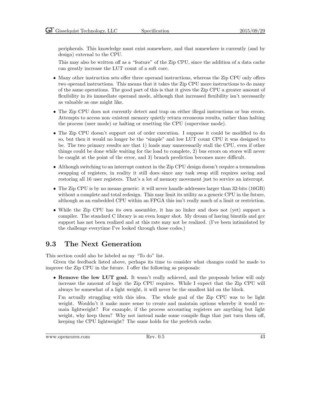peripherals. This knowledge must exist somewhere, and that somewhere is currently (and by design) external to the CPU.

This may also be written off as a "feature" of the Zip CPU, since the addition of a data cache can greatly increase the LUT count of a soft core.

- Many other instruction sets offer three operand instructions, whereas the Zip CPU only offers two operand instructions. This means that it takes the Zip CPU more instructions to do many of the same operations. The good part of this is that it gives the Zip CPU a greater amount of flexibility in its immediate operand mode, although that increased flexibility isn't necessarily as valuable as one might like.
- The Zip CPU does not currently detect and trap on either illegal instructions or bus errors. Attempts to access non–existent memory quietly return erroneous results, rather than halting the process (user mode) or halting or resetting the CPU (supervisor mode).
- The Zip CPU doesn't support out of order execution. I suppose it could be modified to do so, but then it would no longer be the "simple" and low LUT count CPU it was designed to be. The two primary results are that 1) loads may unnecessarily stall the CPU, even if other things could be done while waiting for the load to complete, 2) bus errors on stores will never be caught at the point of the error, and 3) branch prediction becomes more difficult.
- Although switching to an interrupt context in the Zip CPU design doesn't require a tremendous swapping of registers, in reality it still does–since any task swap still requires saving and restoring all 16 user registers. That's a lot of memory movement just to service an interrupt.
- The Zip CPU is by no means generic: it will never handle addresses larger than 32-bits (16GB) without a complete and total redesign. This may limit its utility as a generic CPU in the future, although as an embedded CPU within an FPGA this isn't really much of a limit or restriction.
- While the Zip CPU has its own assembler, it has no linker and does not (yet) support a compiler. The standard C library is an even longer shot. My dream of having binutils and gcc support has not been realized and at this rate may not be realized. (I've been intimidated by the challenge everytime I've looked through those codes.)

#### <span id="page-49-0"></span>9.3 The Next Generation

This section could also be labeled as my "To do" list.

Given the feedback listed above, perhaps its time to consider what changes could be made to improve the Zip CPU in the future. I offer the following as proposals:

• Remove the low LUT goal. It wasn't really achieved, and the proposals below will only increase the amount of logic the Zip CPU requires. While I expect that the Zip CPU will always be somewhat of a light weight, it will never be the smallest kid on the block.

I'm actually struggling with this idea. The whole goal of the Zip CPU was to be light weight. Wouldn't it make more sense to create and maintain options whereby it would remain lightweight? For example, if the process accounting registers are anything but light weight, why keep them? Why not instead make some compile flags that just turn them off, keeping the CPU lightweight? The same holds for the prefetch cache.